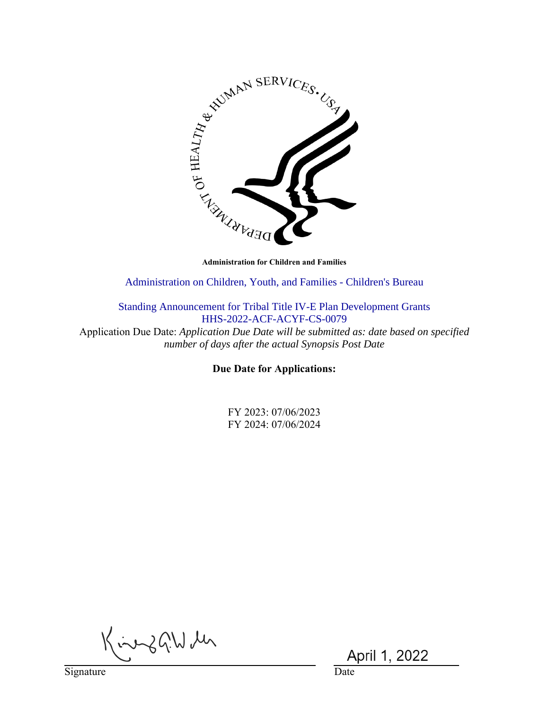

Administration on Children, Youth, and Families - Children's Bureau

Standing Announcement for Tribal Title IV-E Plan Development Grants HHS-2022-ACF-ACYF-CS-0079

Application Due Date: *Application Due Date will be submitted as: date based on specified number of days after the actual Synopsis Post Date*

**Due Date for Applications:**

FY 2023: 07/06/2023 FY 2024: 07/06/2024

King G.W M

Signature Date

April 1, 2022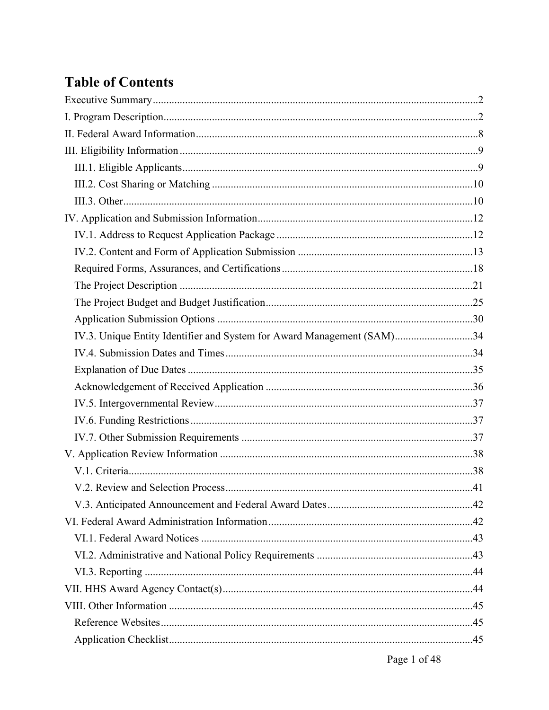# **Table of Contents**

| IV.3. Unique Entity Identifier and System for Award Management (SAM)34 |  |
|------------------------------------------------------------------------|--|
|                                                                        |  |
|                                                                        |  |
|                                                                        |  |
|                                                                        |  |
|                                                                        |  |
|                                                                        |  |
|                                                                        |  |
|                                                                        |  |
|                                                                        |  |
|                                                                        |  |
|                                                                        |  |
|                                                                        |  |
|                                                                        |  |
|                                                                        |  |
|                                                                        |  |
|                                                                        |  |
|                                                                        |  |
|                                                                        |  |
|                                                                        |  |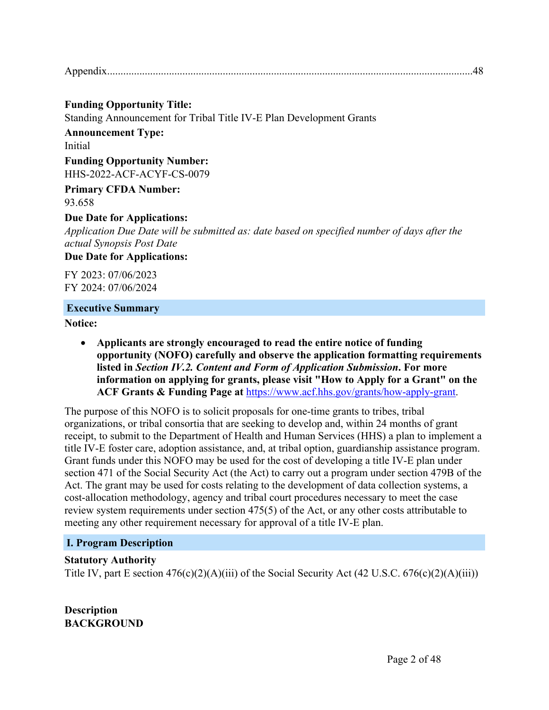#### **Funding Opportunity Title:** Standing Announcement for Tribal Title IV-E Plan Development Grants

**Announcement Type:** Initial

**Funding Opportunity Number:** HHS-2022-ACF-ACYF-CS-0079

**Primary CFDA Number:** 93.658

## **Due Date for Applications:**

*Application Due Date will be submitted as: date based on specified number of days after the actual Synopsis Post Date*

**Due Date for Applications:**

FY 2023: 07/06/2023 FY 2024: 07/06/2024

#### **Executive Summary**

**Notice:**

 **Applicants are strongly encouraged to read the entire notice of funding opportunity (NOFO) carefully and observe the application formatting requirements listed in** *Section IV.2. Content and Form of Application Submission***. For more information on applying for grants, please visit "How to Apply for a Grant" on the ACF Grants & Funding Page at** https://www.acf.hhs.gov/grants/how-apply-grant.

The purpose of this NOFO is to solicit proposals for one-time grants to tribes, tribal organizations, or tribal consortia that are seeking to develop and, within 24 months of grant receipt, to submit to the Department of Health and Human Services (HHS) a plan to implement a title IV-E foster care, adoption assistance, and, at tribal option, guardianship assistance program. Grant funds under this NOFO may be used for the cost of developing a title IV-E plan under section 471 of the Social Security Act (the Act) to carry out a program under section 479B of the Act. The grant may be used for costs relating to the development of data collection systems, a cost-allocation methodology, agency and tribal court procedures necessary to meet the case review system requirements under section 475(5) of the Act, or any other costs attributable to meeting any other requirement necessary for approval of a title IV-E plan.

## **I. Program Description**

## **Statutory Authority**

Title IV, part E section  $476(c)(2)(A)(iii)$  of the Social Security Act  $(42 U.S.C. 676(c)(2)(A)(iii))$ 

**Description BACKGROUND**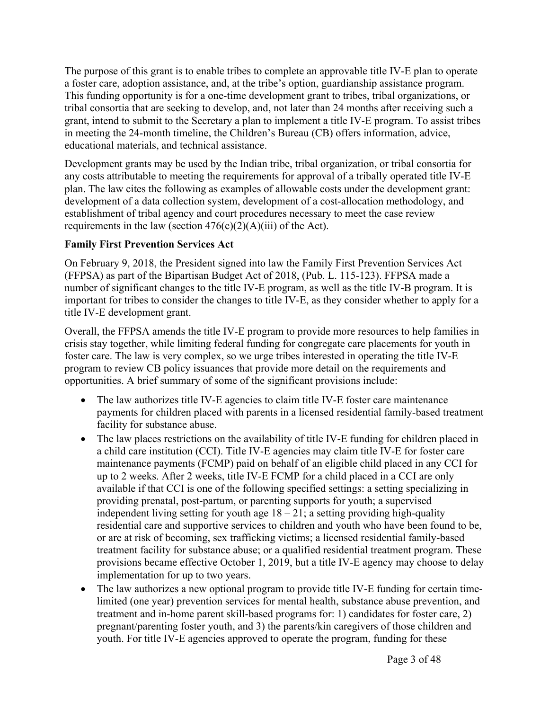The purpose of this grant is to enable tribes to complete an approvable title IV-E plan to operate a foster care, adoption assistance, and, at the tribe's option, guardianship assistance program. This funding opportunity is for a one-time development grant to tribes, tribal organizations, or tribal consortia that are seeking to develop, and, not later than 24 months after receiving such a grant, intend to submit to the Secretary a plan to implement a title IV-E program. To assist tribes in meeting the 24-month timeline, the Children's Bureau (CB) offers information, advice, educational materials, and technical assistance.

Development grants may be used by the Indian tribe, tribal organization, or tribal consortia for any costs attributable to meeting the requirements for approval of a tribally operated title IV-E plan. The law cites the following as examples of allowable costs under the development grant: development of a data collection system, development of a cost-allocation methodology, and establishment of tribal agency and court procedures necessary to meet the case review requirements in the law (section  $476(c)(2)(A)(iii)$  of the Act).

## **Family First Prevention Services Act**

On February 9, 2018, the President signed into law the Family First Prevention Services Act (FFPSA) as part of the Bipartisan Budget Act of 2018, (Pub. L. 115-123). FFPSA made a number of significant changes to the title IV-E program, as well as the title IV-B program. It is important for tribes to consider the changes to title IV-E, as they consider whether to apply for a title IV-E development grant.

Overall, the FFPSA amends the title IV-E program to provide more resources to help families in crisis stay together, while limiting federal funding for congregate care placements for youth in foster care. The law is very complex, so we urge tribes interested in operating the title IV-E program to review CB policy issuances that provide more detail on the requirements and opportunities. A brief summary of some of the significant provisions include:

- The law authorizes title IV-E agencies to claim title IV-E foster care maintenance payments for children placed with parents in a licensed residential family-based treatment facility for substance abuse.
- The law places restrictions on the availability of title IV-E funding for children placed in a child care institution (CCI). Title IV-E agencies may claim title IV-E for foster care maintenance payments (FCMP) paid on behalf of an eligible child placed in any CCI for up to 2 weeks. After 2 weeks, title IV-E FCMP for a child placed in a CCI are only available if that CCI is one of the following specified settings: a setting specializing in providing prenatal, post-partum, or parenting supports for youth; a supervised independent living setting for youth age  $18 - 21$ ; a setting providing high-quality residential care and supportive services to children and youth who have been found to be, or are at risk of becoming, sex trafficking victims; a licensed residential family-based treatment facility for substance abuse; or a qualified residential treatment program. These provisions became effective October 1, 2019, but a title IV-E agency may choose to delay implementation for up to two years.
- The law authorizes a new optional program to provide title IV-E funding for certain timelimited (one year) prevention services for mental health, substance abuse prevention, and treatment and in-home parent skill-based programs for: 1) candidates for foster care, 2) pregnant/parenting foster youth, and 3) the parents/kin caregivers of those children and youth. For title IV-E agencies approved to operate the program, funding for these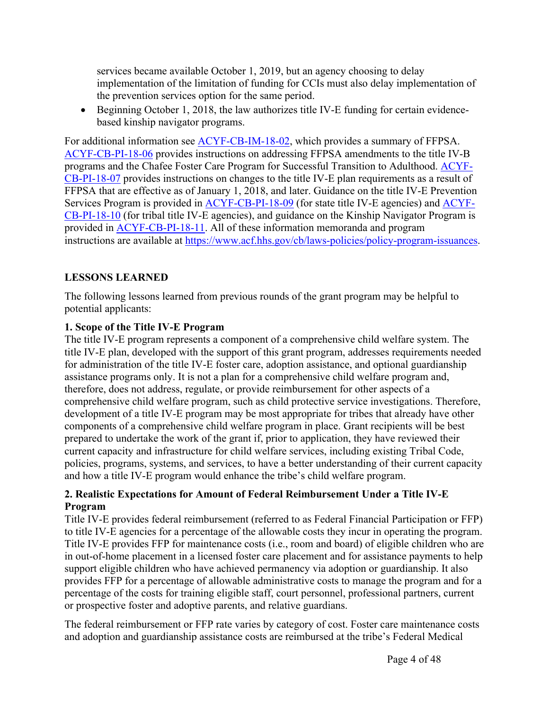services became available October 1, 2019, but an agency choosing to delay implementation of the limitation of funding for CCIs must also delay implementation of the prevention services option for the same period.

 Beginning October 1, 2018, the law authorizes title IV-E funding for certain evidencebased kinship navigator programs.

For additional information see ACYF-CB-IM-18-02, which provides a summary of FFPSA. ACYF-CB-PI-18-06 provides instructions on addressing FFPSA amendments to the title IV-B programs and the Chafee Foster Care Program for Successful Transition to Adulthood. ACYF-CB-PI-18-07 provides instructions on changes to the title IV-E plan requirements as a result of FFPSA that are effective as of January 1, 2018, and later. Guidance on the title IV-E Prevention Services Program is provided in ACYF-CB-PI-18-09 (for state title IV-E agencies) and ACYF-CB-PI-18-10 (for tribal title IV-E agencies), and guidance on the Kinship Navigator Program is provided in ACYF-CB-PI-18-11. All of these information memoranda and program instructions are available at https://www.acf.hhs.gov/cb/laws-policies/policy-program-issuances.

## **LESSONS LEARNED**

The following lessons learned from previous rounds of the grant program may be helpful to potential applicants:

## **1. Scope of the Title IV-E Program**

The title IV-E program represents a component of a comprehensive child welfare system. The title IV-E plan, developed with the support of this grant program, addresses requirements needed for administration of the title IV-E foster care, adoption assistance, and optional guardianship assistance programs only. It is not a plan for a comprehensive child welfare program and, therefore, does not address, regulate, or provide reimbursement for other aspects of a comprehensive child welfare program, such as child protective service investigations. Therefore, development of a title IV-E program may be most appropriate for tribes that already have other components of a comprehensive child welfare program in place. Grant recipients will be best prepared to undertake the work of the grant if, prior to application, they have reviewed their current capacity and infrastructure for child welfare services, including existing Tribal Code, policies, programs, systems, and services, to have a better understanding of their current capacity and how a title IV-E program would enhance the tribe's child welfare program.

## **2. Realistic Expectations for Amount of Federal Reimbursement Under a Title IV-E Program**

Title IV-E provides federal reimbursement (referred to as Federal Financial Participation or FFP) to title IV-E agencies for a percentage of the allowable costs they incur in operating the program. Title IV-E provides FFP for maintenance costs (i.e., room and board) of eligible children who are in out-of-home placement in a licensed foster care placement and for assistance payments to help support eligible children who have achieved permanency via adoption or guardianship. It also provides FFP for a percentage of allowable administrative costs to manage the program and for a percentage of the costs for training eligible staff, court personnel, professional partners, current or prospective foster and adoptive parents, and relative guardians.

The federal reimbursement or FFP rate varies by category of cost. Foster care maintenance costs and adoption and guardianship assistance costs are reimbursed at the tribe's Federal Medical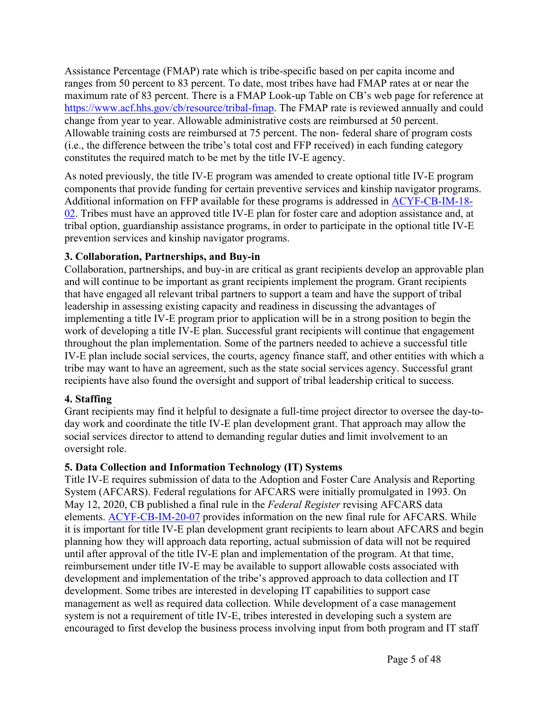Assistance Percentage (FMAP) rate which is tribe-specific based on per capita income and ranges from 50 percent to 83 percent. To date, most tribes have had FMAP rates at or near the maximum rate of 83 percent. There is a FMAP Look-up Table on CB's web page for reference at https://www.acf.hhs.gov/cb/resource/tribal-fmap. The FMAP rate is reviewed annually and could change from year to year. Allowable administrative costs are reimbursed at 50 percent. Allowable training costs are reimbursed at 75 percent. The non- federal share of program costs (i.e., the difference between the tribe's total cost and FFP received) in each funding category constitutes the required match to be met by the title IV-E agency.

As noted previously, the title IV-E program was amended to create optional title IV-E program components that provide funding for certain preventive services and kinship navigator programs. Additional information on FFP available for these programs is addressed in ACYF-CB-IM-18- 02. Tribes must have an approved title IV-E plan for foster care and adoption assistance and, at tribal option, guardianship assistance programs, in order to participate in the optional title IV-E prevention services and kinship navigator programs.

## **3. Collaboration, Partnerships, and Buy-in**

Collaboration, partnerships, and buy-in are critical as grant recipients develop an approvable plan and will continue to be important as grant recipients implement the program. Grant recipients that have engaged all relevant tribal partners to support a team and have the support of tribal leadership in assessing existing capacity and readiness in discussing the advantages of implementing a title IV-E program prior to application will be in a strong position to begin the work of developing a title IV-E plan. Successful grant recipients will continue that engagement throughout the plan implementation. Some of the partners needed to achieve a successful title IV-E plan include social services, the courts, agency finance staff, and other entities with which a tribe may want to have an agreement, such as the state social services agency. Successful grant recipients have also found the oversight and support of tribal leadership critical to success.

## **4. Staffing**

Grant recipients may find it helpful to designate a full-time project director to oversee the day-today work and coordinate the title IV-E plan development grant. That approach may allow the social services director to attend to demanding regular duties and limit involvement to an oversight role.

## **5. Data Collection and Information Technology (IT) Systems**

Title IV-E requires submission of data to the Adoption and Foster Care Analysis and Reporting System (AFCARS). Federal regulations for AFCARS were initially promulgated in 1993. On May 12, 2020, CB published a final rule in the *Federal Register* revising AFCARS data elements. ACYF-CB-IM-20-07 provides information on the new final rule for AFCARS. While it is important for title IV-E plan development grant recipients to learn about AFCARS and begin planning how they will approach data reporting, actual submission of data will not be required until after approval of the title IV-E plan and implementation of the program. At that time, reimbursement under title IV-E may be available to support allowable costs associated with development and implementation of the tribe's approved approach to data collection and IT development. Some tribes are interested in developing IT capabilities to support case management as well as required data collection. While development of a case management system is not a requirement of title IV-E, tribes interested in developing such a system are encouraged to first develop the business process involving input from both program and IT staff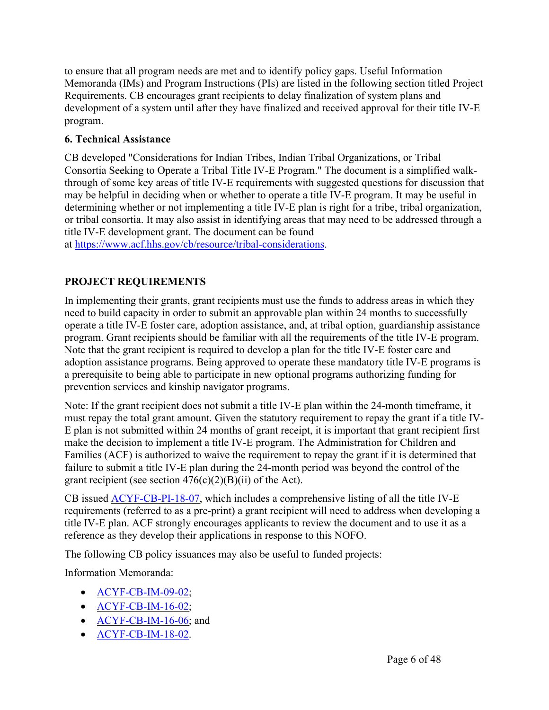to ensure that all program needs are met and to identify policy gaps. Useful Information Memoranda (IMs) and Program Instructions (PIs) are listed in the following section titled Project Requirements. CB encourages grant recipients to delay finalization of system plans and development of a system until after they have finalized and received approval for their title IV-E program.

## **6. Technical Assistance**

CB developed "Considerations for Indian Tribes, Indian Tribal Organizations, or Tribal Consortia Seeking to Operate a Tribal Title IV-E Program." The document is a simplified walkthrough of some key areas of title IV-E requirements with suggested questions for discussion that may be helpful in deciding when or whether to operate a title IV-E program. It may be useful in determining whether or not implementing a title IV-E plan is right for a tribe, tribal organization, or tribal consortia. It may also assist in identifying areas that may need to be addressed through a title IV-E development grant. The document can be found at https://www.acf.hhs.gov/cb/resource/tribal-considerations.

## **PROJECT REQUIREMENTS**

In implementing their grants, grant recipients must use the funds to address areas in which they need to build capacity in order to submit an approvable plan within 24 months to successfully operate a title IV-E foster care, adoption assistance, and, at tribal option, guardianship assistance program. Grant recipients should be familiar with all the requirements of the title IV-E program. Note that the grant recipient is required to develop a plan for the title IV-E foster care and adoption assistance programs. Being approved to operate these mandatory title IV-E programs is a prerequisite to being able to participate in new optional programs authorizing funding for prevention services and kinship navigator programs.

Note: If the grant recipient does not submit a title IV-E plan within the 24-month timeframe, it must repay the total grant amount. Given the statutory requirement to repay the grant if a title IV-E plan is not submitted within 24 months of grant receipt, it is important that grant recipient first make the decision to implement a title IV-E program. The Administration for Children and Families (ACF) is authorized to waive the requirement to repay the grant if it is determined that failure to submit a title IV-E plan during the 24-month period was beyond the control of the grant recipient (see section  $476(c)(2)(B)(ii)$  of the Act).

CB issued ACYF-CB-PI-18-07, which includes a comprehensive listing of all the title IV-E requirements (referred to as a pre-print) a grant recipient will need to address when developing a title IV-E plan. ACF strongly encourages applicants to review the document and to use it as a reference as they develop their applications in response to this NOFO.

The following CB policy issuances may also be useful to funded projects:

Information Memoranda:

- ACYF-CB-IM-09-02;
- $\bullet$  ACYF-CB-IM-16-02;
- $\bullet$  ACYF-CB-IM-16-06; and
- ACYF-CB-IM-18-02.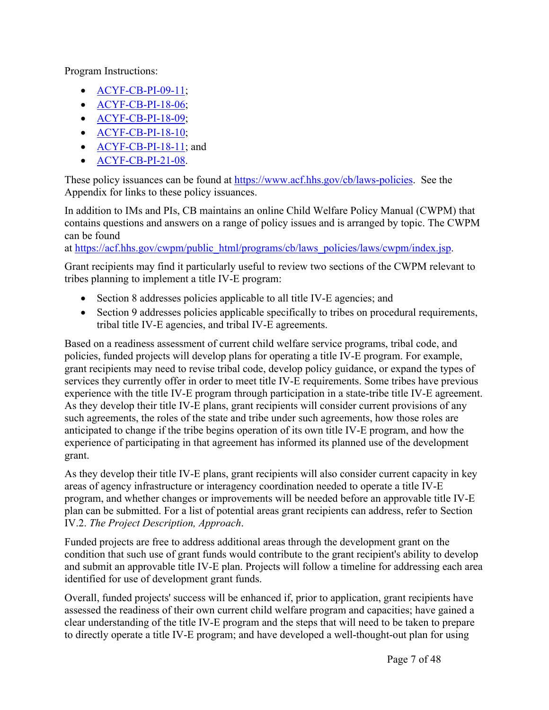Program Instructions:

- ACYF-CB-PI-09-11;
- **ACYF-CB-PI-18-06**;
- ACYF-CB-PI-18-09;
- ACYF-CB-PI-18-10;
- ACYF-CB-PI-18-11; and
- **ACYF-CB-PI-21-08**.

These policy issuances can be found at https://www.acf.hhs.gov/cb/laws-policies. See the Appendix for links to these policy issuances.

In addition to IMs and PIs, CB maintains an online Child Welfare Policy Manual (CWPM) that contains questions and answers on a range of policy issues and is arranged by topic. The CWPM can be found

at https://acf.hhs.gov/cwpm/public\_html/programs/cb/laws\_policies/laws/cwpm/index.jsp.

Grant recipients may find it particularly useful to review two sections of the CWPM relevant to tribes planning to implement a title IV-E program:

- Section 8 addresses policies applicable to all title IV-E agencies; and
- Section 9 addresses policies applicable specifically to tribes on procedural requirements, tribal title IV-E agencies, and tribal IV-E agreements.

Based on a readiness assessment of current child welfare service programs, tribal code, and policies, funded projects will develop plans for operating a title IV-E program. For example, grant recipients may need to revise tribal code, develop policy guidance, or expand the types of services they currently offer in order to meet title IV-E requirements. Some tribes have previous experience with the title IV-E program through participation in a state-tribe title IV-E agreement. As they develop their title IV-E plans, grant recipients will consider current provisions of any such agreements, the roles of the state and tribe under such agreements, how those roles are anticipated to change if the tribe begins operation of its own title IV-E program, and how the experience of participating in that agreement has informed its planned use of the development grant.

As they develop their title IV-E plans, grant recipients will also consider current capacity in key areas of agency infrastructure or interagency coordination needed to operate a title IV-E program, and whether changes or improvements will be needed before an approvable title IV-E plan can be submitted. For a list of potential areas grant recipients can address, refer to Section IV.2. *The Project Description, Approach*.

Funded projects are free to address additional areas through the development grant on the condition that such use of grant funds would contribute to the grant recipient's ability to develop and submit an approvable title IV-E plan. Projects will follow a timeline for addressing each area identified for use of development grant funds.

Overall, funded projects' success will be enhanced if, prior to application, grant recipients have assessed the readiness of their own current child welfare program and capacities; have gained a clear understanding of the title IV-E program and the steps that will need to be taken to prepare to directly operate a title IV-E program; and have developed a well-thought-out plan for using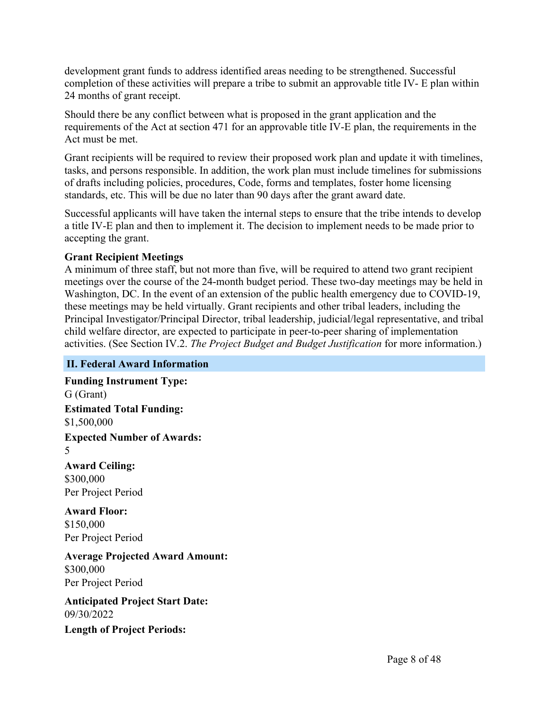development grant funds to address identified areas needing to be strengthened. Successful completion of these activities will prepare a tribe to submit an approvable title IV- E plan within 24 months of grant receipt.

Should there be any conflict between what is proposed in the grant application and the requirements of the Act at section 471 for an approvable title IV-E plan, the requirements in the Act must be met.

Grant recipients will be required to review their proposed work plan and update it with timelines, tasks, and persons responsible. In addition, the work plan must include timelines for submissions of drafts including policies, procedures, Code, forms and templates, foster home licensing standards, etc. This will be due no later than 90 days after the grant award date.

Successful applicants will have taken the internal steps to ensure that the tribe intends to develop a title IV-E plan and then to implement it. The decision to implement needs to be made prior to accepting the grant.

## **Grant Recipient Meetings**

A minimum of three staff, but not more than five, will be required to attend two grant recipient meetings over the course of the 24-month budget period. These two-day meetings may be held in Washington, DC. In the event of an extension of the public health emergency due to COVID-19, these meetings may be held virtually. Grant recipients and other tribal leaders, including the Principal Investigator/Principal Director, tribal leadership, judicial/legal representative, and tribal child welfare director, are expected to participate in peer-to-peer sharing of implementation activities. (See Section IV.2. *The Project Budget and Budget Justification* for more information.)

## **II. Federal Award Information**

**Funding Instrument Type:** G (Grant) **Estimated Total Funding:** \$1,500,000 **Expected Number of Awards:** 5 **Award Ceiling:** \$300,000 Per Project Period **Award Floor:** \$150,000 Per Project Period **Average Projected Award Amount:** \$300,000 Per Project Period

**Anticipated Project Start Date:** 09/30/2022

**Length of Project Periods:**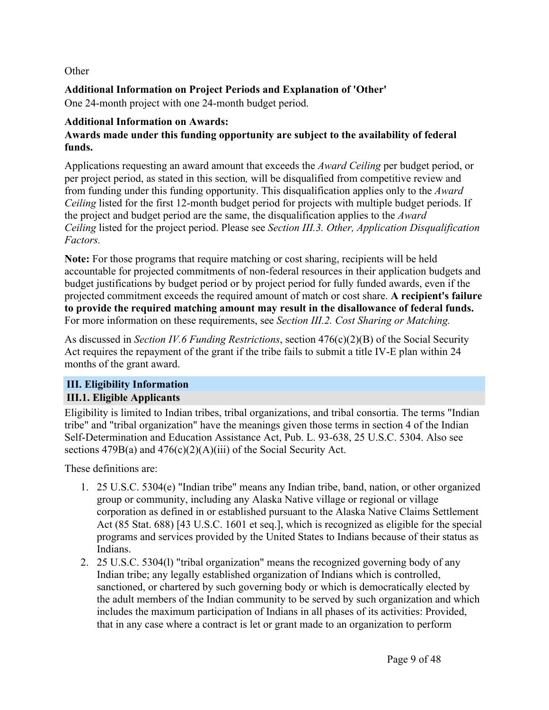## **Other**

## **Additional Information on Project Periods and Explanation of 'Other'**

One 24-month project with one 24-month budget period.

## **Additional Information on Awards:**

## **Awards made under this funding opportunity are subject to the availability of federal funds.**

Applications requesting an award amount that exceeds the *Award Ceiling* per budget period, or per project period, as stated in this section*,* will be disqualified from competitive review and from funding under this funding opportunity. This disqualification applies only to the *Award Ceiling* listed for the first 12-month budget period for projects with multiple budget periods. If the project and budget period are the same, the disqualification applies to the *Award Ceiling* listed for the project period. Please see *Section III.3. Other, Application Disqualification Factors.*

**Note:** For those programs that require matching or cost sharing, recipients will be held accountable for projected commitments of non-federal resources in their application budgets and budget justifications by budget period or by project period for fully funded awards, even if the projected commitment exceeds the required amount of match or cost share. **A recipient's failure to provide the required matching amount may result in the disallowance of federal funds.** For more information on these requirements, see *Section III.2. Cost Sharing or Matching.*

As discussed in *Section IV.6 Funding Restrictions*, section 476(c)(2)(B) of the Social Security Act requires the repayment of the grant if the tribe fails to submit a title IV-E plan within 24 months of the grant award.

## **III. Eligibility Information III.1. Eligible Applicants**

Eligibility is limited to Indian tribes, tribal organizations, and tribal consortia. The terms "Indian tribe" and "tribal organization" have the meanings given those terms in section 4 of the Indian Self-Determination and Education Assistance Act, Pub. L. 93-638, 25 U.S.C. 5304. Also see sections 479B(a) and 476(c)(2)(A)(iii) of the Social Security Act.

These definitions are:

- 1. 25 U.S.C. 5304(e) "Indian tribe" means any Indian tribe, band, nation, or other organized group or community, including any Alaska Native village or regional or village corporation as defined in or established pursuant to the Alaska Native Claims Settlement Act (85 Stat. 688) [43 U.S.C. 1601 et seq.], which is recognized as eligible for the special programs and services provided by the United States to Indians because of their status as Indians.
- 2. 25 U.S.C. 5304(l) "tribal organization" means the recognized governing body of any Indian tribe; any legally established organization of Indians which is controlled, sanctioned, or chartered by such governing body or which is democratically elected by the adult members of the Indian community to be served by such organization and which includes the maximum participation of Indians in all phases of its activities: Provided, that in any case where a contract is let or grant made to an organization to perform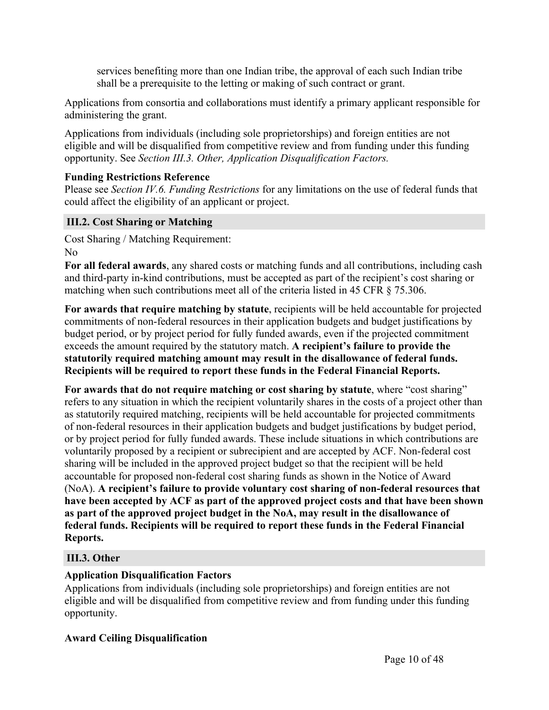services benefiting more than one Indian tribe, the approval of each such Indian tribe shall be a prerequisite to the letting or making of such contract or grant.

Applications from consortia and collaborations must identify a primary applicant responsible for administering the grant.

Applications from individuals (including sole proprietorships) and foreign entities are not eligible and will be disqualified from competitive review and from funding under this funding opportunity. See *Section III.3. Other, Application Disqualification Factors.*

## **Funding Restrictions Reference**

Please see *Section IV.6. Funding Restrictions* for any limitations on the use of federal funds that could affect the eligibility of an applicant or project.

## **III.2. Cost Sharing or Matching**

Cost Sharing / Matching Requirement: No

**For all federal awards**, any shared costs or matching funds and all contributions, including cash and third-party in-kind contributions, must be accepted as part of the recipient's cost sharing or matching when such contributions meet all of the criteria listed in 45 CFR § 75.306.

**For awards that require matching by statute**, recipients will be held accountable for projected commitments of non-federal resources in their application budgets and budget justifications by budget period, or by project period for fully funded awards, even if the projected commitment exceeds the amount required by the statutory match. **A recipient's failure to provide the statutorily required matching amount may result in the disallowance of federal funds. Recipients will be required to report these funds in the Federal Financial Reports.**

**For awards that do not require matching or cost sharing by statute**, where "cost sharing" refers to any situation in which the recipient voluntarily shares in the costs of a project other than as statutorily required matching, recipients will be held accountable for projected commitments of non-federal resources in their application budgets and budget justifications by budget period, or by project period for fully funded awards. These include situations in which contributions are voluntarily proposed by a recipient or subrecipient and are accepted by ACF. Non-federal cost sharing will be included in the approved project budget so that the recipient will be held accountable for proposed non-federal cost sharing funds as shown in the Notice of Award (NoA). **A recipient's failure to provide voluntary cost sharing of non-federal resources that have been accepted by ACF as part of the approved project costs and that have been shown as part of the approved project budget in the NoA, may result in the disallowance of federal funds. Recipients will be required to report these funds in the Federal Financial Reports.**

## **III.3. Other**

## **Application Disqualification Factors**

Applications from individuals (including sole proprietorships) and foreign entities are not eligible and will be disqualified from competitive review and from funding under this funding opportunity.

## **Award Ceiling Disqualification**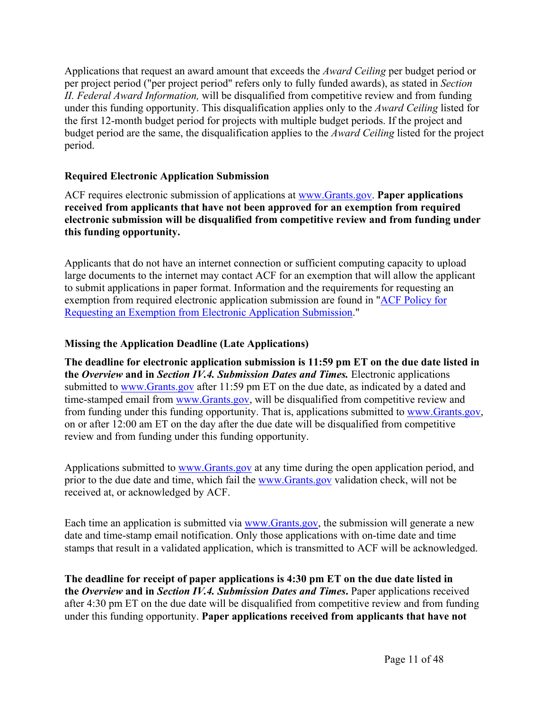Applications that request an award amount that exceeds the *Award Ceiling* per budget period or per project period ("per project period" refers only to fully funded awards), as stated in *Section II. Federal Award Information,* will be disqualified from competitive review and from funding under this funding opportunity. This disqualification applies only to the *Award Ceiling* listed for the first 12-month budget period for projects with multiple budget periods. If the project and budget period are the same, the disqualification applies to the *Award Ceiling* listed for the project period.

## **Required Electronic Application Submission**

ACF requires electronic submission of applications at www.Grants.gov. **Paper applications received from applicants that have not been approved for an exemption from required electronic submission will be disqualified from competitive review and from funding under this funding opportunity.**

Applicants that do not have an internet connection or sufficient computing capacity to upload large documents to the internet may contact ACF for an exemption that will allow the applicant to submit applications in paper format. Information and the requirements for requesting an exemption from required electronic application submission are found in "ACF Policy for Requesting an Exemption from Electronic Application Submission."

## **Missing the Application Deadline (Late Applications)**

**The deadline for electronic application submission is 11:59 pm ET on the due date listed in the** *Overview* **and in** *Section IV.4. Submission Dates and Times.* Electronic applications submitted to www.Grants.gov after 11:59 pm ET on the due date, as indicated by a dated and time-stamped email from www.Grants.gov, will be disqualified from competitive review and from funding under this funding opportunity. That is, applications submitted to www.Grants.gov, on or after 12:00 am ET on the day after the due date will be disqualified from competitive review and from funding under this funding opportunity.

Applications submitted to www.Grants.gov at any time during the open application period, and prior to the due date and time, which fail the www.Grants.gov validation check, will not be received at, or acknowledged by ACF.

Each time an application is submitted via www.Grants.gov, the submission will generate a new date and time-stamp email notification. Only those applications with on-time date and time stamps that result in a validated application, which is transmitted to ACF will be acknowledged.

**The deadline for receipt of paper applications is 4:30 pm ET on the due date listed in the** *Overview* **and in** *Section IV.4. Submission Dates and Times***.** Paper applications received after 4:30 pm ET on the due date will be disqualified from competitive review and from funding under this funding opportunity. **Paper applications received from applicants that have not**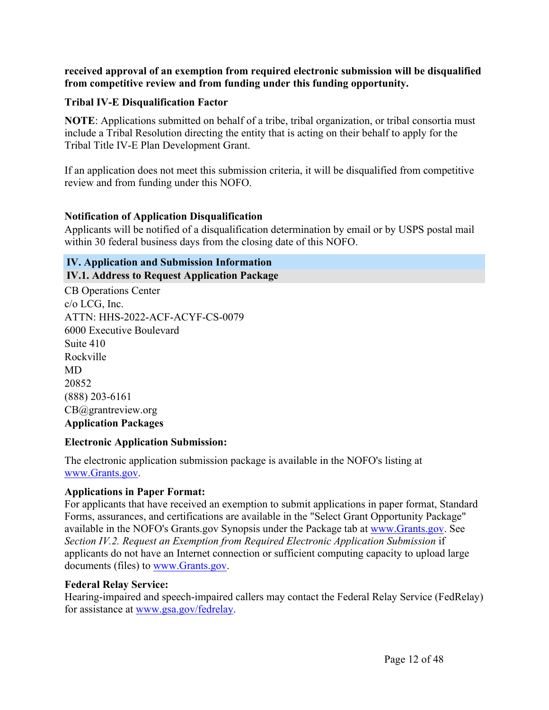**received approval of an exemption from required electronic submission will be disqualified from competitive review and from funding under this funding opportunity.**

#### **Tribal IV-E Disqualification Factor**

**NOTE**: Applications submitted on behalf of a tribe, tribal organization, or tribal consortia must include a Tribal Resolution directing the entity that is acting on their behalf to apply for the Tribal Title IV-E Plan Development Grant.

If an application does not meet this submission criteria, it will be disqualified from competitive review and from funding under this NOFO.

#### **Notification of Application Disqualification**

Applicants will be notified of a disqualification determination by email or by USPS postal mail within 30 federal business days from the closing date of this NOFO.

## **IV. Application and Submission Information**

#### **IV.1. Address to Request Application Package**

CB Operations Center c/o LCG, Inc. ATTN: HHS-2022-ACF-ACYF-CS-0079 6000 Executive Boulevard Suite 410 Rockville MD 20852 (888) 203-6161 CB@grantreview.org **Application Packages**

#### **Electronic Application Submission:**

The electronic application submission package is available in the NOFO's listing at www.Grants.gov.

## **Applications in Paper Format:**

For applicants that have received an exemption to submit applications in paper format, Standard Forms, assurances, and certifications are available in the "Select Grant Opportunity Package" available in the NOFO's Grants.gov Synopsis under the Package tab at www.Grants.gov. See *Section IV.2. Request an Exemption from Required Electronic Application Submission* if applicants do not have an Internet connection or sufficient computing capacity to upload large documents (files) to www.Grants.gov.

#### **Federal Relay Service:**

Hearing-impaired and speech-impaired callers may contact the Federal Relay Service (FedRelay) for assistance at www.gsa.gov/fedrelay.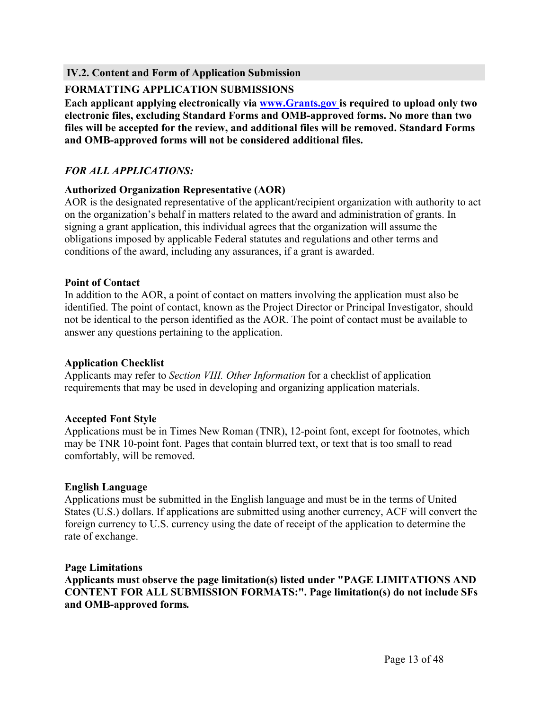**IV.2. Content and Form of Application Submission**

## **FORMATTING APPLICATION SUBMISSIONS**

**Each applicant applying electronically via www.Grants.gov is required to upload only two electronic files, excluding Standard Forms and OMB-approved forms. No more than two files will be accepted for the review, and additional files will be removed. Standard Forms and OMB-approved forms will not be considered additional files.**

## *FOR ALL APPLICATIONS:*

#### **Authorized Organization Representative (AOR)**

AOR is the designated representative of the applicant/recipient organization with authority to act on the organization's behalf in matters related to the award and administration of grants. In signing a grant application, this individual agrees that the organization will assume the obligations imposed by applicable Federal statutes and regulations and other terms and conditions of the award, including any assurances, if a grant is awarded.

#### **Point of Contact**

In addition to the AOR, a point of contact on matters involving the application must also be identified. The point of contact, known as the Project Director or Principal Investigator, should not be identical to the person identified as the AOR. The point of contact must be available to answer any questions pertaining to the application.

## **Application Checklist**

Applicants may refer to *Section VIII. Other Information* for a checklist of application requirements that may be used in developing and organizing application materials.

## **Accepted Font Style**

Applications must be in Times New Roman (TNR), 12-point font, except for footnotes, which may be TNR 10-point font. Pages that contain blurred text, or text that is too small to read comfortably, will be removed.

## **English Language**

Applications must be submitted in the English language and must be in the terms of United States (U.S.) dollars. If applications are submitted using another currency, ACF will convert the foreign currency to U.S. currency using the date of receipt of the application to determine the rate of exchange.

#### **Page Limitations**

**Applicants must observe the page limitation(s) listed under "PAGE LIMITATIONS AND CONTENT FOR ALL SUBMISSION FORMATS:". Page limitation(s) do not include SFs and OMB-approved forms***.*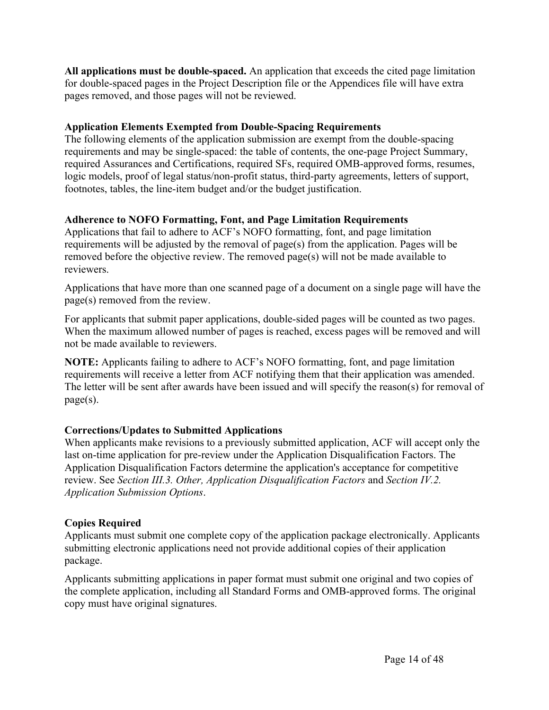**All applications must be double-spaced.** An application that exceeds the cited page limitation for double-spaced pages in the Project Description file or the Appendices file will have extra pages removed, and those pages will not be reviewed.

## **Application Elements Exempted from Double-Spacing Requirements**

The following elements of the application submission are exempt from the double-spacing requirements and may be single-spaced: the table of contents, the one-page Project Summary, required Assurances and Certifications, required SFs, required OMB-approved forms, resumes, logic models, proof of legal status/non-profit status, third-party agreements, letters of support, footnotes, tables, the line-item budget and/or the budget justification.

## **Adherence to NOFO Formatting, Font, and Page Limitation Requirements**

Applications that fail to adhere to ACF's NOFO formatting, font, and page limitation requirements will be adjusted by the removal of page(s) from the application. Pages will be removed before the objective review. The removed page(s) will not be made available to reviewers.

Applications that have more than one scanned page of a document on a single page will have the page(s) removed from the review.

For applicants that submit paper applications, double-sided pages will be counted as two pages. When the maximum allowed number of pages is reached, excess pages will be removed and will not be made available to reviewers.

**NOTE:** Applicants failing to adhere to ACF's NOFO formatting, font, and page limitation requirements will receive a letter from ACF notifying them that their application was amended. The letter will be sent after awards have been issued and will specify the reason(s) for removal of page(s).

## **Corrections/Updates to Submitted Applications**

When applicants make revisions to a previously submitted application, ACF will accept only the last on-time application for pre-review under the Application Disqualification Factors. The Application Disqualification Factors determine the application's acceptance for competitive review. See *Section III.3. Other, Application Disqualification Factors* and *Section IV.2. Application Submission Options*.

## **Copies Required**

Applicants must submit one complete copy of the application package electronically. Applicants submitting electronic applications need not provide additional copies of their application package.

Applicants submitting applications in paper format must submit one original and two copies of the complete application, including all Standard Forms and OMB-approved forms. The original copy must have original signatures.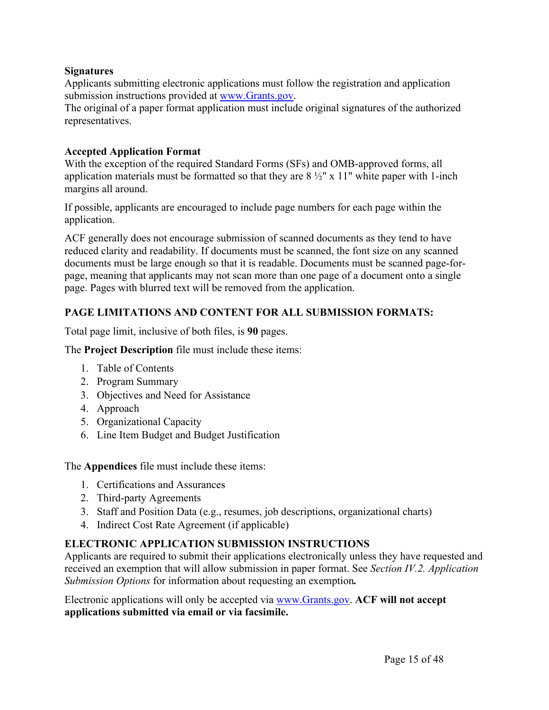## **Signatures**

Applicants submitting electronic applications must follow the registration and application submission instructions provided at www.Grants.gov.

The original of a paper format application must include original signatures of the authorized representatives.

## **Accepted Application Format**

With the exception of the required Standard Forms (SFs) and OMB-approved forms, all application materials must be formatted so that they are  $8\frac{1}{2}$ " x 11" white paper with 1-inch margins all around.

If possible, applicants are encouraged to include page numbers for each page within the application.

ACF generally does not encourage submission of scanned documents as they tend to have reduced clarity and readability. If documents must be scanned, the font size on any scanned documents must be large enough so that it is readable. Documents must be scanned page-forpage, meaning that applicants may not scan more than one page of a document onto a single page. Pages with blurred text will be removed from the application.

## **PAGE LIMITATIONS AND CONTENT FOR ALL SUBMISSION FORMATS:**

Total page limit, inclusive of both files, is **90** pages.

The **Project Description** file must include these items:

- 1. Table of Contents
- 2. Program Summary
- 3. Objectives and Need for Assistance
- 4. Approach
- 5. Organizational Capacity
- 6. Line Item Budget and Budget Justification

The **Appendices** file must include these items:

- 1. Certifications and Assurances
- 2. Third-party Agreements
- 3. Staff and Position Data (e.g., resumes, job descriptions, organizational charts)
- 4. Indirect Cost Rate Agreement (if applicable)

## **ELECTRONIC APPLICATION SUBMISSION INSTRUCTIONS**

Applicants are required to submit their applications electronically unless they have requested and received an exemption that will allow submission in paper format. See *Section IV.2. Application Submission Options* for information about requesting an exemption*.*

Electronic applications will only be accepted via www.Grants.gov. **ACF will not accept applications submitted via email or via facsimile.**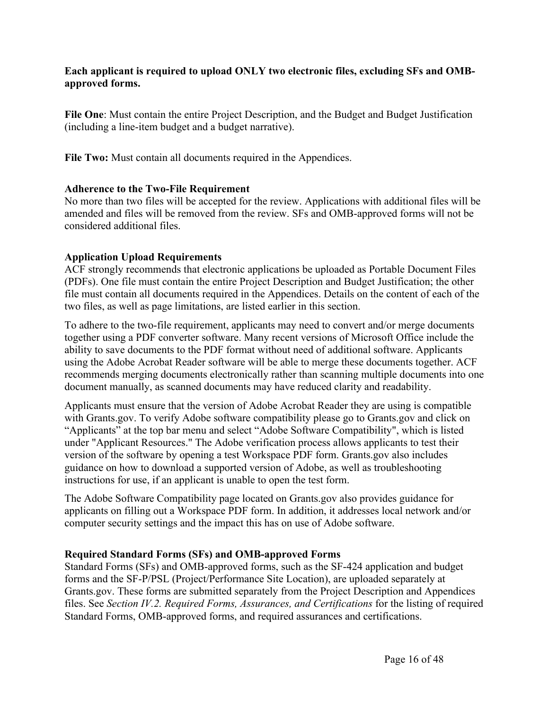## **Each applicant is required to upload ONLY two electronic files, excluding SFs and OMBapproved forms.**

**File One**: Must contain the entire Project Description, and the Budget and Budget Justification (including a line-item budget and a budget narrative).

**File Two:** Must contain all documents required in the Appendices.

## **Adherence to the Two-File Requirement**

No more than two files will be accepted for the review. Applications with additional files will be amended and files will be removed from the review. SFs and OMB-approved forms will not be considered additional files.

## **Application Upload Requirements**

ACF strongly recommends that electronic applications be uploaded as Portable Document Files (PDFs). One file must contain the entire Project Description and Budget Justification; the other file must contain all documents required in the Appendices. Details on the content of each of the two files, as well as page limitations, are listed earlier in this section.

To adhere to the two-file requirement, applicants may need to convert and/or merge documents together using a PDF converter software. Many recent versions of Microsoft Office include the ability to save documents to the PDF format without need of additional software. Applicants using the Adobe Acrobat Reader software will be able to merge these documents together. ACF recommends merging documents electronically rather than scanning multiple documents into one document manually, as scanned documents may have reduced clarity and readability.

Applicants must ensure that the version of Adobe Acrobat Reader they are using is compatible with Grants.gov. To verify Adobe software compatibility please go to Grants.gov and click on "Applicants" at the top bar menu and select "Adobe Software Compatibility", which is listed under "Applicant Resources." The Adobe verification process allows applicants to test their version of the software by opening a test Workspace PDF form. Grants.gov also includes guidance on how to download a supported version of Adobe, as well as troubleshooting instructions for use, if an applicant is unable to open the test form.

The Adobe Software Compatibility page located on Grants.gov also provides guidance for applicants on filling out a Workspace PDF form. In addition, it addresses local network and/or computer security settings and the impact this has on use of Adobe software.

## **Required Standard Forms (SFs) and OMB-approved Forms**

Standard Forms (SFs) and OMB-approved forms, such as the SF-424 application and budget forms and the SF-P/PSL (Project/Performance Site Location), are uploaded separately at Grants.gov. These forms are submitted separately from the Project Description and Appendices files. See *Section IV.2. Required Forms, Assurances, and Certifications* for the listing of required Standard Forms, OMB-approved forms, and required assurances and certifications.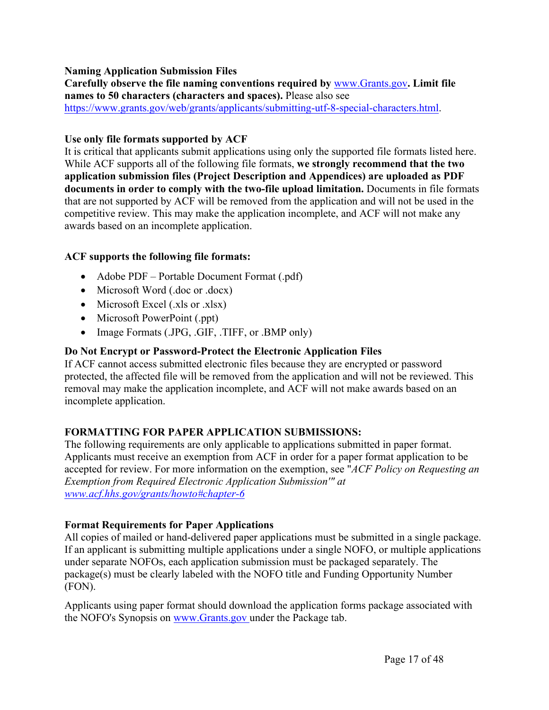## **Naming Application Submission Files**

**Carefully observe the file naming conventions required by** www.Grants.gov**. Limit file names to 50 characters (characters and spaces).** Please also see https://www.grants.gov/web/grants/applicants/submitting-utf-8-special-characters.html.

#### **Use only file formats supported by ACF**

It is critical that applicants submit applications using only the supported file formats listed here. While ACF supports all of the following file formats, **we strongly recommend that the two application submission files (Project Description and Appendices) are uploaded as PDF documents in order to comply with the two-file upload limitation.** Documents in file formats that are not supported by ACF will be removed from the application and will not be used in the competitive review. This may make the application incomplete, and ACF will not make any awards based on an incomplete application.

## **ACF supports the following file formats:**

- Adobe PDF Portable Document Format (.pdf)
- Microsoft Word (.doc or .docx)
- $\bullet$  Microsoft Excel (.xls or .xlsx)
- Microsoft PowerPoint (.ppt)
- Image Formats (.JPG, .GIF, .TIFF, or .BMP only)

## **Do Not Encrypt or Password-Protect the Electronic Application Files**

If ACF cannot access submitted electronic files because they are encrypted or password protected, the affected file will be removed from the application and will not be reviewed. This removal may make the application incomplete, and ACF will not make awards based on an incomplete application.

## **FORMATTING FOR PAPER APPLICATION SUBMISSIONS:**

The following requirements are only applicable to applications submitted in paper format. Applicants must receive an exemption from ACF in order for a paper format application to be accepted for review. For more information on the exemption, see "*ACF Policy on Requesting an Exemption from Required Electronic Application Submission'" at www.acf.hhs.gov/grants/howto#chapter-6*

## **Format Requirements for Paper Applications**

All copies of mailed or hand-delivered paper applications must be submitted in a single package. If an applicant is submitting multiple applications under a single NOFO, or multiple applications under separate NOFOs, each application submission must be packaged separately. The package(s) must be clearly labeled with the NOFO title and Funding Opportunity Number (FON).

Applicants using paper format should download the application forms package associated with the NOFO's Synopsis on www.Grants.gov under the Package tab.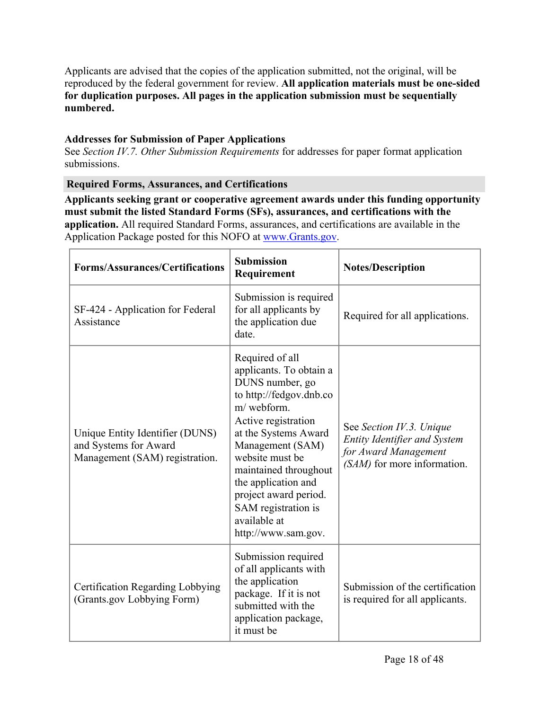Applicants are advised that the copies of the application submitted, not the original, will be reproduced by the federal government for review. **All application materials must be one-sided for duplication purposes. All pages in the application submission must be sequentially numbered.**

## **Addresses for Submission of Paper Applications**

See *Section IV.7. Other Submission Requirements* for addresses for paper format application submissions.

## **Required Forms, Assurances, and Certifications**

**Applicants seeking grant or cooperative agreement awards under this funding opportunity must submit the listed Standard Forms (SFs), assurances, and certifications with the application.** All required Standard Forms, assurances, and certifications are available in the Application Package posted for this NOFO at www.Grants.gov.

| <b>Forms/Assurances/Certifications</b>                                                     | <b>Submission</b><br>Requirement                                                                                                                                                                                                                                                                                                    | <b>Notes/Description</b>                                                                                               |
|--------------------------------------------------------------------------------------------|-------------------------------------------------------------------------------------------------------------------------------------------------------------------------------------------------------------------------------------------------------------------------------------------------------------------------------------|------------------------------------------------------------------------------------------------------------------------|
| SF-424 - Application for Federal<br>Assistance                                             | Submission is required<br>for all applicants by<br>the application due<br>date.                                                                                                                                                                                                                                                     | Required for all applications.                                                                                         |
| Unique Entity Identifier (DUNS)<br>and Systems for Award<br>Management (SAM) registration. | Required of all<br>applicants. To obtain a<br>DUNS number, go<br>to http://fedgov.dnb.co<br>m/webform.<br>Active registration<br>at the Systems Award<br>Management (SAM)<br>website must be<br>maintained throughout<br>the application and<br>project award period.<br>SAM registration is<br>available at<br>http://www.sam.gov. | See Section IV.3. Unique<br><b>Entity Identifier and System</b><br>for Award Management<br>(SAM) for more information. |
| Certification Regarding Lobbying<br>(Grants.gov Lobbying Form)                             | Submission required<br>of all applicants with<br>the application<br>package. If it is not<br>submitted with the<br>application package,<br>it must be                                                                                                                                                                               | Submission of the certification<br>is required for all applicants.                                                     |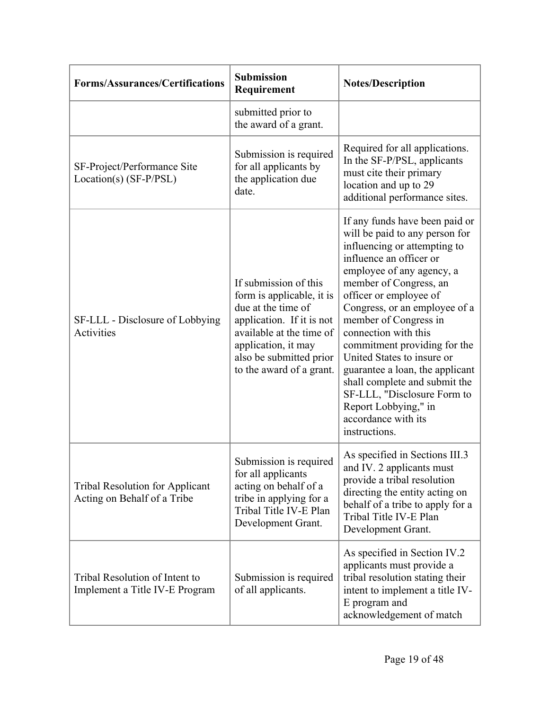| <b>Forms/Assurances/Certifications</b>                                | <b>Submission</b><br>Requirement                                                                                                                                                                                | <b>Notes/Description</b>                                                                                                                                                                                                                                                                                                                                                                                                                                                                                                        |
|-----------------------------------------------------------------------|-----------------------------------------------------------------------------------------------------------------------------------------------------------------------------------------------------------------|---------------------------------------------------------------------------------------------------------------------------------------------------------------------------------------------------------------------------------------------------------------------------------------------------------------------------------------------------------------------------------------------------------------------------------------------------------------------------------------------------------------------------------|
|                                                                       | submitted prior to<br>the award of a grant.                                                                                                                                                                     |                                                                                                                                                                                                                                                                                                                                                                                                                                                                                                                                 |
| SF-Project/Performance Site<br>$Location(s) (SF-P/PSL)$               | Submission is required<br>for all applicants by<br>the application due<br>date.                                                                                                                                 | Required for all applications.<br>In the SF-P/PSL, applicants<br>must cite their primary<br>location and up to 29<br>additional performance sites.                                                                                                                                                                                                                                                                                                                                                                              |
| SF-LLL - Disclosure of Lobbying<br>Activities                         | If submission of this<br>form is applicable, it is<br>due at the time of<br>application. If it is not<br>available at the time of<br>application, it may<br>also be submitted prior<br>to the award of a grant. | If any funds have been paid or<br>will be paid to any person for<br>influencing or attempting to<br>influence an officer or<br>employee of any agency, a<br>member of Congress, an<br>officer or employee of<br>Congress, or an employee of a<br>member of Congress in<br>connection with this<br>commitment providing for the<br>United States to insure or<br>guarantee a loan, the applicant<br>shall complete and submit the<br>SF-LLL, "Disclosure Form to<br>Report Lobbying," in<br>accordance with its<br>instructions. |
| <b>Tribal Resolution for Applicant</b><br>Acting on Behalf of a Tribe | Submission is required<br>for all applicants<br>acting on behalf of a<br>tribe in applying for a<br>Tribal Title IV-E Plan<br>Development Grant.                                                                | As specified in Sections III.3<br>and IV. 2 applicants must<br>provide a tribal resolution<br>directing the entity acting on<br>behalf of a tribe to apply for a<br>Tribal Title IV-E Plan<br>Development Grant.                                                                                                                                                                                                                                                                                                                |
| Tribal Resolution of Intent to<br>Implement a Title IV-E Program      | Submission is required<br>of all applicants.                                                                                                                                                                    | As specified in Section IV.2<br>applicants must provide a<br>tribal resolution stating their<br>intent to implement a title IV-<br>E program and<br>acknowledgement of match                                                                                                                                                                                                                                                                                                                                                    |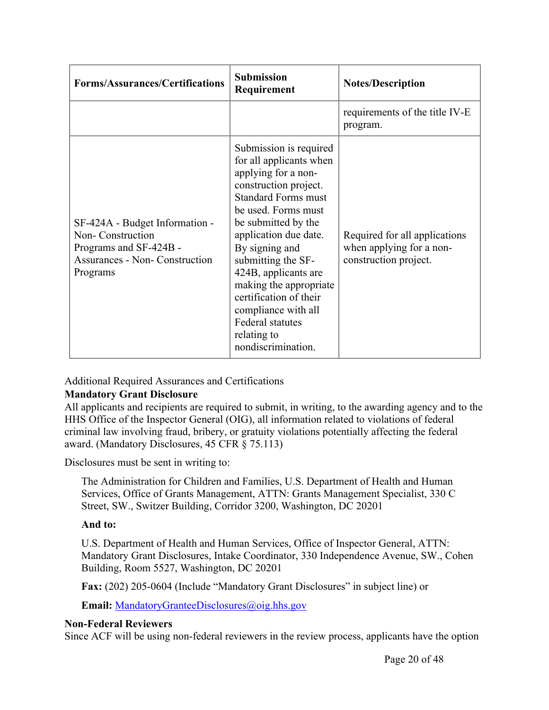| <b>Forms/Assurances/Certifications</b>                                                                                            | <b>Submission</b><br>Requirement                                                                                                                                                                                                                                                                                                                                                                                  | <b>Notes/Description</b>                                                           |
|-----------------------------------------------------------------------------------------------------------------------------------|-------------------------------------------------------------------------------------------------------------------------------------------------------------------------------------------------------------------------------------------------------------------------------------------------------------------------------------------------------------------------------------------------------------------|------------------------------------------------------------------------------------|
|                                                                                                                                   |                                                                                                                                                                                                                                                                                                                                                                                                                   | requirements of the title IV-E<br>program.                                         |
| SF-424A - Budget Information -<br>Non-Construction<br>Programs and SF-424B -<br><b>Assurances - Non- Construction</b><br>Programs | Submission is required<br>for all applicants when<br>applying for a non-<br>construction project.<br><b>Standard Forms must</b><br>be used. Forms must<br>be submitted by the<br>application due date.<br>By signing and<br>submitting the SF-<br>424B, applicants are<br>making the appropriate<br>certification of their<br>compliance with all<br><b>Federal statutes</b><br>relating to<br>nondiscrimination. | Required for all applications<br>when applying for a non-<br>construction project. |

Additional Required Assurances and Certifications

## **Mandatory Grant Disclosure**

All applicants and recipients are required to submit, in writing, to the awarding agency and to the HHS Office of the Inspector General (OIG), all information related to violations of federal criminal law involving fraud, bribery, or gratuity violations potentially affecting the federal award. (Mandatory Disclosures, 45 CFR § 75.113)

Disclosures must be sent in writing to:

The Administration for Children and Families, U.S. Department of Health and Human Services, Office of Grants Management, ATTN: Grants Management Specialist, 330 C Street, SW., Switzer Building, Corridor 3200, Washington, DC 20201

## **And to:**

U.S. Department of Health and Human Services, Office of Inspector General, ATTN: Mandatory Grant Disclosures, Intake Coordinator, 330 Independence Avenue, SW., Cohen Building, Room 5527, Washington, DC 20201

**Fax:** (202) 205-0604 (Include "Mandatory Grant Disclosures" in subject line) or

**Email:** MandatoryGranteeDisclosures@oig.hhs.gov

## **Non-Federal Reviewers**

Since ACF will be using non-federal reviewers in the review process, applicants have the option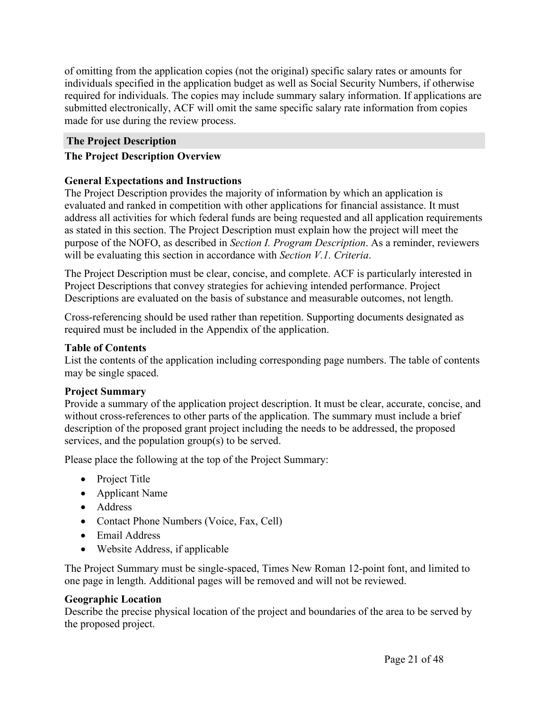of omitting from the application copies (not the original) specific salary rates or amounts for individuals specified in the application budget as well as Social Security Numbers, if otherwise required for individuals. The copies may include summary salary information. If applications are submitted electronically, ACF will omit the same specific salary rate information from copies made for use during the review process.

## **The Project Description**

## **The Project Description Overview**

## **General Expectations and Instructions**

The Project Description provides the majority of information by which an application is evaluated and ranked in competition with other applications for financial assistance. It must address all activities for which federal funds are being requested and all application requirements as stated in this section. The Project Description must explain how the project will meet the purpose of the NOFO, as described in *Section I. Program Description*. As a reminder, reviewers will be evaluating this section in accordance with *Section V.1. Criteria*.

The Project Description must be clear, concise, and complete. ACF is particularly interested in Project Descriptions that convey strategies for achieving intended performance. Project Descriptions are evaluated on the basis of substance and measurable outcomes, not length.

Cross-referencing should be used rather than repetition. Supporting documents designated as required must be included in the Appendix of the application.

## **Table of Contents**

List the contents of the application including corresponding page numbers. The table of contents may be single spaced.

## **Project Summary**

Provide a summary of the application project description. It must be clear, accurate, concise, and without cross-references to other parts of the application. The summary must include a brief description of the proposed grant project including the needs to be addressed, the proposed services, and the population group(s) to be served.

Please place the following at the top of the Project Summary:

- Project Title
- Applicant Name
- Address
- Contact Phone Numbers (Voice, Fax, Cell)
- Email Address
- Website Address, if applicable

The Project Summary must be single-spaced, Times New Roman 12-point font, and limited to one page in length. Additional pages will be removed and will not be reviewed.

## **Geographic Location**

Describe the precise physical location of the project and boundaries of the area to be served by the proposed project.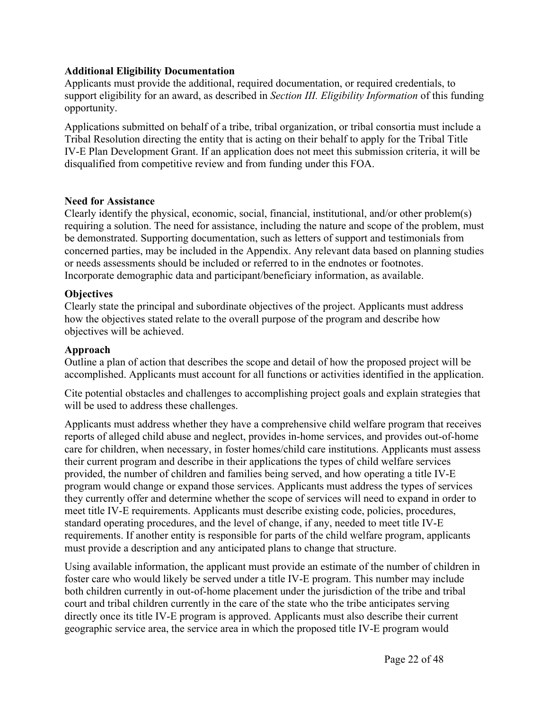#### **Additional Eligibility Documentation**

Applicants must provide the additional, required documentation, or required credentials, to support eligibility for an award, as described in *Section III. Eligibility Information* of this funding opportunity.

Applications submitted on behalf of a tribe, tribal organization, or tribal consortia must include a Tribal Resolution directing the entity that is acting on their behalf to apply for the Tribal Title IV-E Plan Development Grant. If an application does not meet this submission criteria, it will be disqualified from competitive review and from funding under this FOA.

#### **Need for Assistance**

Clearly identify the physical, economic, social, financial, institutional, and/or other problem(s) requiring a solution. The need for assistance, including the nature and scope of the problem, must be demonstrated. Supporting documentation, such as letters of support and testimonials from concerned parties, may be included in the Appendix. Any relevant data based on planning studies or needs assessments should be included or referred to in the endnotes or footnotes. Incorporate demographic data and participant/beneficiary information, as available.

#### **Objectives**

Clearly state the principal and subordinate objectives of the project. Applicants must address how the objectives stated relate to the overall purpose of the program and describe how objectives will be achieved.

#### **Approach**

Outline a plan of action that describes the scope and detail of how the proposed project will be accomplished. Applicants must account for all functions or activities identified in the application.

Cite potential obstacles and challenges to accomplishing project goals and explain strategies that will be used to address these challenges.

Applicants must address whether they have a comprehensive child welfare program that receives reports of alleged child abuse and neglect, provides in-home services, and provides out-of-home care for children, when necessary, in foster homes/child care institutions. Applicants must assess their current program and describe in their applications the types of child welfare services provided, the number of children and families being served, and how operating a title IV-E program would change or expand those services. Applicants must address the types of services they currently offer and determine whether the scope of services will need to expand in order to meet title IV-E requirements. Applicants must describe existing code, policies, procedures, standard operating procedures, and the level of change, if any, needed to meet title IV-E requirements. If another entity is responsible for parts of the child welfare program, applicants must provide a description and any anticipated plans to change that structure.

Using available information, the applicant must provide an estimate of the number of children in foster care who would likely be served under a title IV-E program. This number may include both children currently in out-of-home placement under the jurisdiction of the tribe and tribal court and tribal children currently in the care of the state who the tribe anticipates serving directly once its title IV-E program is approved. Applicants must also describe their current geographic service area, the service area in which the proposed title IV-E program would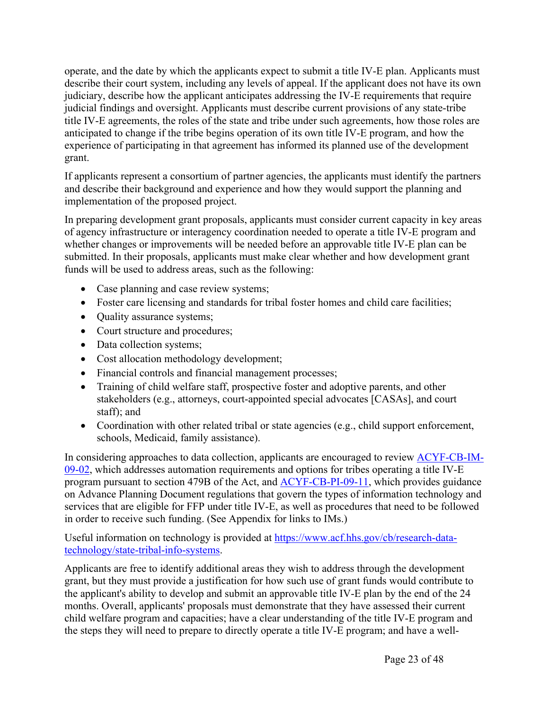operate, and the date by which the applicants expect to submit a title IV-E plan. Applicants must describe their court system, including any levels of appeal. If the applicant does not have its own judiciary, describe how the applicant anticipates addressing the IV-E requirements that require judicial findings and oversight. Applicants must describe current provisions of any state-tribe title IV-E agreements, the roles of the state and tribe under such agreements, how those roles are anticipated to change if the tribe begins operation of its own title IV-E program, and how the experience of participating in that agreement has informed its planned use of the development grant.

If applicants represent a consortium of partner agencies, the applicants must identify the partners and describe their background and experience and how they would support the planning and implementation of the proposed project.

In preparing development grant proposals, applicants must consider current capacity in key areas of agency infrastructure or interagency coordination needed to operate a title IV-E program and whether changes or improvements will be needed before an approvable title IV-E plan can be submitted. In their proposals, applicants must make clear whether and how development grant funds will be used to address areas, such as the following:

- Case planning and case review systems;
- Foster care licensing and standards for tribal foster homes and child care facilities;
- Quality assurance systems;
- Court structure and procedures;
- Data collection systems;
- Cost allocation methodology development;
- Financial controls and financial management processes;
- Training of child welfare staff, prospective foster and adoptive parents, and other stakeholders (e.g., attorneys, court-appointed special advocates [CASAs], and court staff); and
- Coordination with other related tribal or state agencies (e.g., child support enforcement, schools, Medicaid, family assistance).

In considering approaches to data collection, applicants are encouraged to review ACYF-CB-IM-09-02, which addresses automation requirements and options for tribes operating a title IV-E program pursuant to section 479B of the Act, and ACYF-CB-PI-09-11, which provides guidance on Advance Planning Document regulations that govern the types of information technology and services that are eligible for FFP under title IV-E, as well as procedures that need to be followed in order to receive such funding. (See Appendix for links to IMs.)

Useful information on technology is provided at https://www.acf.hhs.gov/cb/research-datatechnology/state-tribal-info-systems.

Applicants are free to identify additional areas they wish to address through the development grant, but they must provide a justification for how such use of grant funds would contribute to the applicant's ability to develop and submit an approvable title IV-E plan by the end of the 24 months. Overall, applicants' proposals must demonstrate that they have assessed their current child welfare program and capacities; have a clear understanding of the title IV-E program and the steps they will need to prepare to directly operate a title IV-E program; and have a well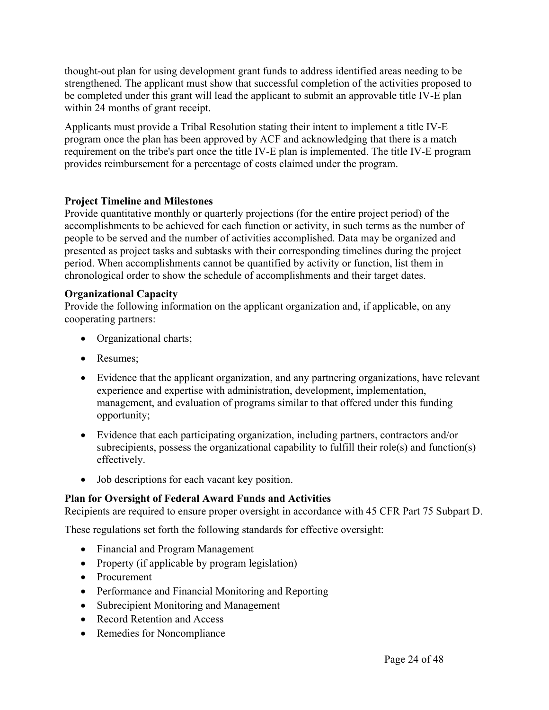thought-out plan for using development grant funds to address identified areas needing to be strengthened. The applicant must show that successful completion of the activities proposed to be completed under this grant will lead the applicant to submit an approvable title IV-E plan within 24 months of grant receipt.

Applicants must provide a Tribal Resolution stating their intent to implement a title IV-E program once the plan has been approved by ACF and acknowledging that there is a match requirement on the tribe's part once the title IV-E plan is implemented. The title IV-E program provides reimbursement for a percentage of costs claimed under the program.

## **Project Timeline and Milestones**

Provide quantitative monthly or quarterly projections (for the entire project period) of the accomplishments to be achieved for each function or activity, in such terms as the number of people to be served and the number of activities accomplished. Data may be organized and presented as project tasks and subtasks with their corresponding timelines during the project period. When accomplishments cannot be quantified by activity or function, list them in chronological order to show the schedule of accomplishments and their target dates.

## **Organizational Capacity**

Provide the following information on the applicant organization and, if applicable, on any cooperating partners:

- Organizational charts;
- Resumes:
- Evidence that the applicant organization, and any partnering organizations, have relevant experience and expertise with administration, development, implementation, management, and evaluation of programs similar to that offered under this funding opportunity;
- Evidence that each participating organization, including partners, contractors and/or subrecipients, possess the organizational capability to fulfill their role(s) and function(s) effectively.
- Job descriptions for each vacant key position.

## **Plan for Oversight of Federal Award Funds and Activities**

Recipients are required to ensure proper oversight in accordance with 45 CFR Part 75 Subpart D.

These regulations set forth the following standards for effective oversight:

- Financial and Program Management
- Property (if applicable by program legislation)
- Procurement
- Performance and Financial Monitoring and Reporting
- Subrecipient Monitoring and Management
- Record Retention and Access
- Remedies for Noncompliance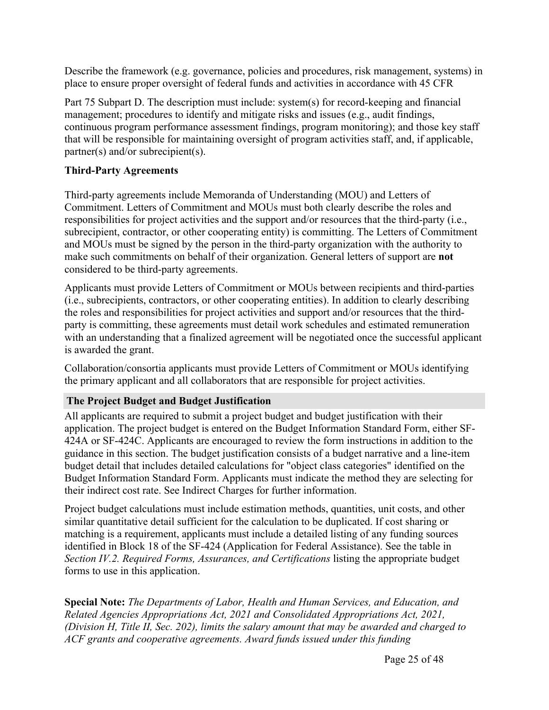Describe the framework (e.g. governance, policies and procedures, risk management, systems) in place to ensure proper oversight of federal funds and activities in accordance with 45 CFR

Part 75 Subpart D. The description must include: system(s) for record-keeping and financial management; procedures to identify and mitigate risks and issues (e.g., audit findings, continuous program performance assessment findings, program monitoring); and those key staff that will be responsible for maintaining oversight of program activities staff, and, if applicable, partner(s) and/or subrecipient(s).

## **Third-Party Agreements**

Third-party agreements include Memoranda of Understanding (MOU) and Letters of Commitment. Letters of Commitment and MOUs must both clearly describe the roles and responsibilities for project activities and the support and/or resources that the third-party (i.e., subrecipient, contractor, or other cooperating entity) is committing. The Letters of Commitment and MOUs must be signed by the person in the third-party organization with the authority to make such commitments on behalf of their organization. General letters of support are **not** considered to be third-party agreements.

Applicants must provide Letters of Commitment or MOUs between recipients and third-parties (i.e., subrecipients, contractors, or other cooperating entities). In addition to clearly describing the roles and responsibilities for project activities and support and/or resources that the thirdparty is committing, these agreements must detail work schedules and estimated remuneration with an understanding that a finalized agreement will be negotiated once the successful applicant is awarded the grant.

Collaboration/consortia applicants must provide Letters of Commitment or MOUs identifying the primary applicant and all collaborators that are responsible for project activities.

## **The Project Budget and Budget Justification**

All applicants are required to submit a project budget and budget justification with their application. The project budget is entered on the Budget Information Standard Form, either SF-424A or SF-424C. Applicants are encouraged to review the form instructions in addition to the guidance in this section. The budget justification consists of a budget narrative and a line-item budget detail that includes detailed calculations for "object class categories" identified on the Budget Information Standard Form. Applicants must indicate the method they are selecting for their indirect cost rate. See Indirect Charges for further information.

Project budget calculations must include estimation methods, quantities, unit costs, and other similar quantitative detail sufficient for the calculation to be duplicated. If cost sharing or matching is a requirement, applicants must include a detailed listing of any funding sources identified in Block 18 of the SF-424 (Application for Federal Assistance). See the table in *Section IV.2. Required Forms, Assurances, and Certifications* listing the appropriate budget forms to use in this application.

**Special Note:** *The Departments of Labor, Health and Human Services, and Education, and Related Agencies Appropriations Act, 2021 and Consolidated Appropriations Act, 2021, (Division H, Title II, Sec. 202), limits the salary amount that may be awarded and charged to ACF grants and cooperative agreements. Award funds issued under this funding*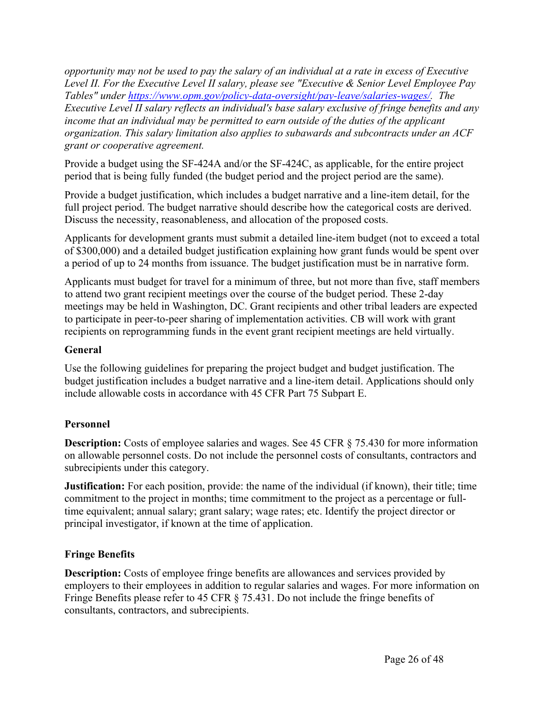opportunity may not be used to pay the salary of an individual at a rate in excess of Executive *Level II. For the Executive Level II salary, please see "Executive & Senior Level Employee Pay Tables" under https://www.opm.gov/policy-data-oversight/pay-leave/salaries-wages/. The Executive Level II salary reflects an individual's base salary exclusive of fringe benefits and any income that an individual may be permitted to earn outside of the duties of the applicant organization. This salary limitation also applies to subawards and subcontracts under an ACF grant or cooperative agreement.*

Provide a budget using the SF-424A and/or the SF-424C, as applicable, for the entire project period that is being fully funded (the budget period and the project period are the same).

Provide a budget justification, which includes a budget narrative and a line-item detail, for the full project period. The budget narrative should describe how the categorical costs are derived. Discuss the necessity, reasonableness, and allocation of the proposed costs.

Applicants for development grants must submit a detailed line-item budget (not to exceed a total of \$300,000) and a detailed budget justification explaining how grant funds would be spent over a period of up to 24 months from issuance. The budget justification must be in narrative form.

Applicants must budget for travel for a minimum of three, but not more than five, staff members to attend two grant recipient meetings over the course of the budget period. These 2-day meetings may be held in Washington, DC. Grant recipients and other tribal leaders are expected to participate in peer-to-peer sharing of implementation activities. CB will work with grant recipients on reprogramming funds in the event grant recipient meetings are held virtually.

## **General**

Use the following guidelines for preparing the project budget and budget justification. The budget justification includes a budget narrative and a line-item detail. Applications should only include allowable costs in accordance with 45 CFR Part 75 Subpart E.

## **Personnel**

**Description:** Costs of employee salaries and wages. See 45 CFR § 75.430 for more information on allowable personnel costs. Do not include the personnel costs of consultants, contractors and subrecipients under this category.

**Justification:** For each position, provide: the name of the individual (if known), their title; time commitment to the project in months; time commitment to the project as a percentage or fulltime equivalent; annual salary; grant salary; wage rates; etc. Identify the project director or principal investigator, if known at the time of application.

## **Fringe Benefits**

**Description:** Costs of employee fringe benefits are allowances and services provided by employers to their employees in addition to regular salaries and wages. For more information on Fringe Benefits please refer to 45 CFR § 75.431. Do not include the fringe benefits of consultants, contractors, and subrecipients.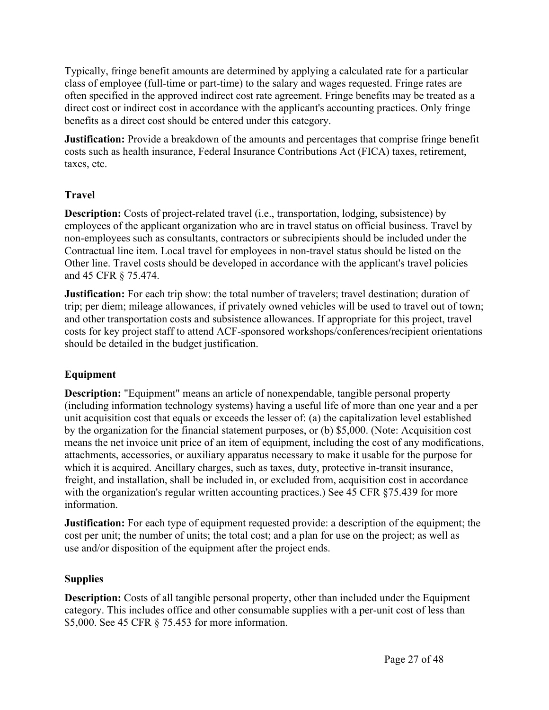Typically, fringe benefit amounts are determined by applying a calculated rate for a particular class of employee (full-time or part-time) to the salary and wages requested. Fringe rates are often specified in the approved indirect cost rate agreement. Fringe benefits may be treated as a direct cost or indirect cost in accordance with the applicant's accounting practices. Only fringe benefits as a direct cost should be entered under this category.

**Justification:** Provide a breakdown of the amounts and percentages that comprise fringe benefit costs such as health insurance, Federal Insurance Contributions Act (FICA) taxes, retirement, taxes, etc.

## **Travel**

**Description:** Costs of project-related travel (i.e., transportation, lodging, subsistence) by employees of the applicant organization who are in travel status on official business. Travel by non-employees such as consultants, contractors or subrecipients should be included under the Contractual line item. Local travel for employees in non-travel status should be listed on the Other line. Travel costs should be developed in accordance with the applicant's travel policies and 45 CFR § 75.474.

**Justification:** For each trip show: the total number of travelers; travel destination; duration of trip; per diem; mileage allowances, if privately owned vehicles will be used to travel out of town; and other transportation costs and subsistence allowances. If appropriate for this project, travel costs for key project staff to attend ACF-sponsored workshops/conferences/recipient orientations should be detailed in the budget justification.

## **Equipment**

**Description:** "Equipment" means an article of nonexpendable, tangible personal property (including information technology systems) having a useful life of more than one year and a per unit acquisition cost that equals or exceeds the lesser of: (a) the capitalization level established by the organization for the financial statement purposes, or (b) \$5,000. (Note: Acquisition cost means the net invoice unit price of an item of equipment, including the cost of any modifications, attachments, accessories, or auxiliary apparatus necessary to make it usable for the purpose for which it is acquired. Ancillary charges, such as taxes, duty, protective in-transit insurance, freight, and installation, shall be included in, or excluded from, acquisition cost in accordance with the organization's regular written accounting practices.) See 45 CFR §75.439 for more information.

**Justification:** For each type of equipment requested provide: a description of the equipment; the cost per unit; the number of units; the total cost; and a plan for use on the project; as well as use and/or disposition of the equipment after the project ends.

## **Supplies**

**Description:** Costs of all tangible personal property, other than included under the Equipment category. This includes office and other consumable supplies with a per-unit cost of less than \$5,000. See 45 CFR § 75.453 for more information.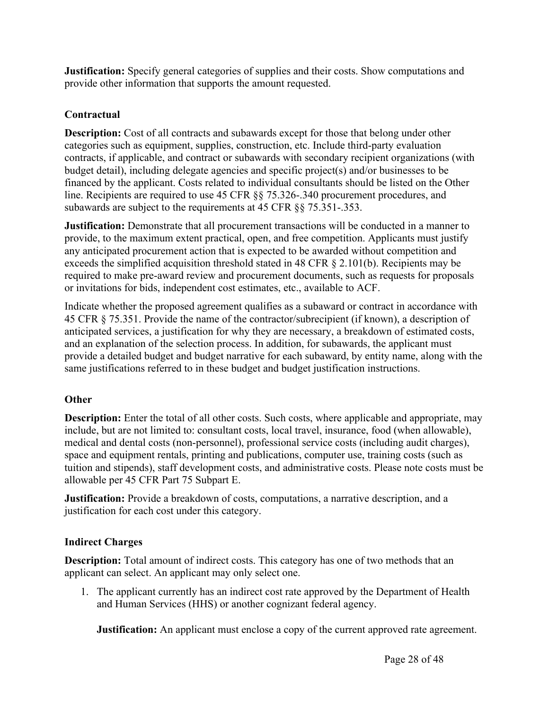**Justification:** Specify general categories of supplies and their costs. Show computations and provide other information that supports the amount requested.

## **Contractual**

**Description:** Cost of all contracts and subawards except for those that belong under other categories such as equipment, supplies, construction, etc. Include third-party evaluation contracts, if applicable, and contract or subawards with secondary recipient organizations (with budget detail), including delegate agencies and specific project(s) and/or businesses to be financed by the applicant. Costs related to individual consultants should be listed on the Other line. Recipients are required to use 45 CFR §§ 75.326-.340 procurement procedures, and subawards are subject to the requirements at 45 CFR §§ 75.351-.353.

**Justification:** Demonstrate that all procurement transactions will be conducted in a manner to provide, to the maximum extent practical, open, and free competition. Applicants must justify any anticipated procurement action that is expected to be awarded without competition and exceeds the simplified acquisition threshold stated in 48 CFR § 2.101(b). Recipients may be required to make pre-award review and procurement documents, such as requests for proposals or invitations for bids, independent cost estimates, etc., available to ACF.

Indicate whether the proposed agreement qualifies as a subaward or contract in accordance with 45 CFR § 75.351. Provide the name of the contractor/subrecipient (if known), a description of anticipated services, a justification for why they are necessary, a breakdown of estimated costs, and an explanation of the selection process. In addition, for subawards, the applicant must provide a detailed budget and budget narrative for each subaward, by entity name, along with the same justifications referred to in these budget and budget justification instructions.

## **Other**

**Description:** Enter the total of all other costs. Such costs, where applicable and appropriate, may include, but are not limited to: consultant costs, local travel, insurance, food (when allowable), medical and dental costs (non-personnel), professional service costs (including audit charges), space and equipment rentals, printing and publications, computer use, training costs (such as tuition and stipends), staff development costs, and administrative costs. Please note costs must be allowable per 45 CFR Part 75 Subpart E.

**Justification:** Provide a breakdown of costs, computations, a narrative description, and a justification for each cost under this category.

## **Indirect Charges**

**Description:** Total amount of indirect costs. This category has one of two methods that an applicant can select. An applicant may only select one.

1. The applicant currently has an indirect cost rate approved by the Department of Health and Human Services (HHS) or another cognizant federal agency.

**Justification:** An applicant must enclose a copy of the current approved rate agreement.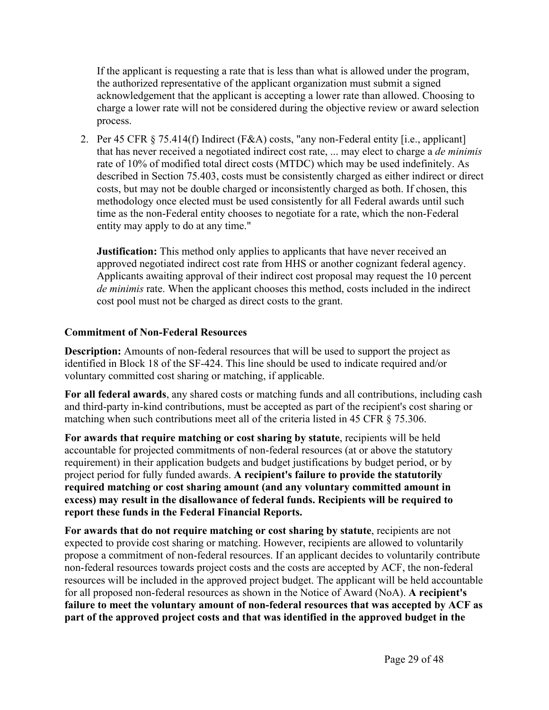If the applicant is requesting a rate that is less than what is allowed under the program, the authorized representative of the applicant organization must submit a signed acknowledgement that the applicant is accepting a lower rate than allowed. Choosing to charge a lower rate will not be considered during the objective review or award selection process.

2. Per 45 CFR § 75.414(f) Indirect (F&A) costs, "any non-Federal entity [i.e., applicant] that has never received a negotiated indirect cost rate, ... may elect to charge a *de minimis* rate of 10% of modified total direct costs (MTDC) which may be used indefinitely. As described in Section 75.403, costs must be consistently charged as either indirect or direct costs, but may not be double charged or inconsistently charged as both. If chosen, this methodology once elected must be used consistently for all Federal awards until such time as the non-Federal entity chooses to negotiate for a rate, which the non-Federal entity may apply to do at any time."

**Justification:** This method only applies to applicants that have never received an approved negotiated indirect cost rate from HHS or another cognizant federal agency. Applicants awaiting approval of their indirect cost proposal may request the 10 percent *de minimis* rate. When the applicant chooses this method, costs included in the indirect cost pool must not be charged as direct costs to the grant.

## **Commitment of Non-Federal Resources**

**Description:** Amounts of non-federal resources that will be used to support the project as identified in Block 18 of the SF-424. This line should be used to indicate required and/or voluntary committed cost sharing or matching, if applicable.

**For all federal awards**, any shared costs or matching funds and all contributions, including cash and third-party in-kind contributions, must be accepted as part of the recipient's cost sharing or matching when such contributions meet all of the criteria listed in 45 CFR § 75.306.

**For awards that require matching or cost sharing by statute**, recipients will be held accountable for projected commitments of non-federal resources (at or above the statutory requirement) in their application budgets and budget justifications by budget period, or by project period for fully funded awards. **A recipient's failure to provide the statutorily required matching or cost sharing amount (and any voluntary committed amount in excess) may result in the disallowance of federal funds. Recipients will be required to report these funds in the Federal Financial Reports.**

**For awards that do not require matching or cost sharing by statute**, recipients are not expected to provide cost sharing or matching. However, recipients are allowed to voluntarily propose a commitment of non-federal resources. If an applicant decides to voluntarily contribute non-federal resources towards project costs and the costs are accepted by ACF, the non-federal resources will be included in the approved project budget. The applicant will be held accountable for all proposed non-federal resources as shown in the Notice of Award (NoA). **A recipient's failure to meet the voluntary amount of non-federal resources that was accepted by ACF as part of the approved project costs and that was identified in the approved budget in the**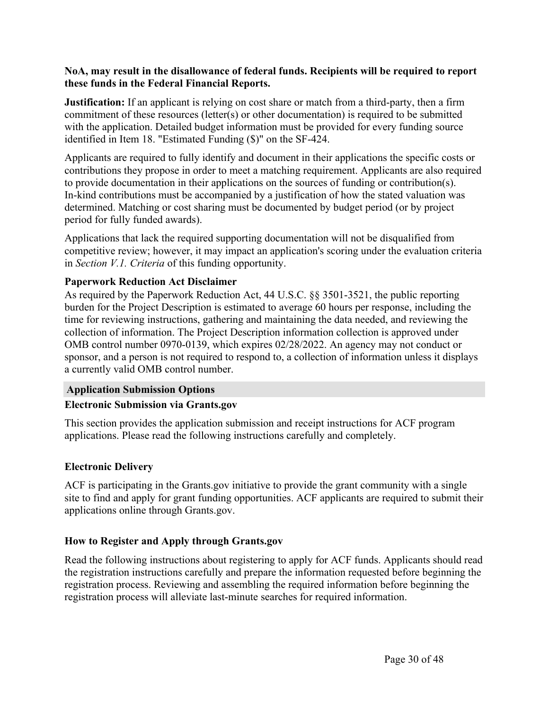#### **NoA, may result in the disallowance of federal funds. Recipients will be required to report these funds in the Federal Financial Reports.**

**Justification:** If an applicant is relying on cost share or match from a third-party, then a firm commitment of these resources (letter(s) or other documentation) is required to be submitted with the application. Detailed budget information must be provided for every funding source identified in Item 18. "Estimated Funding (\$)" on the SF-424.

Applicants are required to fully identify and document in their applications the specific costs or contributions they propose in order to meet a matching requirement. Applicants are also required to provide documentation in their applications on the sources of funding or contribution(s). In-kind contributions must be accompanied by a justification of how the stated valuation was determined. Matching or cost sharing must be documented by budget period (or by project period for fully funded awards).

Applications that lack the required supporting documentation will not be disqualified from competitive review; however, it may impact an application's scoring under the evaluation criteria in *Section V.1. Criteria* of this funding opportunity.

#### **Paperwork Reduction Act Disclaimer**

As required by the Paperwork Reduction Act, 44 U.S.C. §§ 3501-3521, the public reporting burden for the Project Description is estimated to average 60 hours per response, including the time for reviewing instructions, gathering and maintaining the data needed, and reviewing the collection of information. The Project Description information collection is approved under OMB control number 0970-0139, which expires 02/28/2022. An agency may not conduct or sponsor, and a person is not required to respond to, a collection of information unless it displays a currently valid OMB control number.

#### **Application Submission Options**

#### **Electronic Submission via Grants.gov**

This section provides the application submission and receipt instructions for ACF program applications. Please read the following instructions carefully and completely.

## **Electronic Delivery**

ACF is participating in the Grants.gov initiative to provide the grant community with a single site to find and apply for grant funding opportunities. ACF applicants are required to submit their applications online through Grants.gov.

#### **How to Register and Apply through Grants.gov**

Read the following instructions about registering to apply for ACF funds. Applicants should read the registration instructions carefully and prepare the information requested before beginning the registration process. Reviewing and assembling the required information before beginning the registration process will alleviate last-minute searches for required information.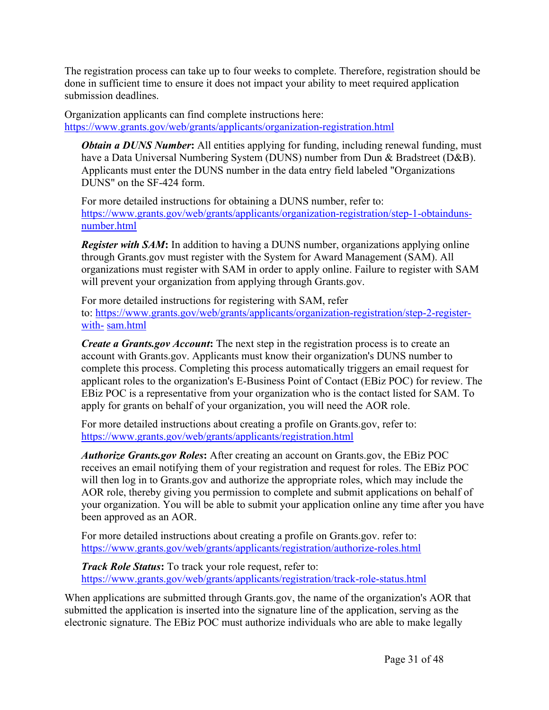The registration process can take up to four weeks to complete. Therefore, registration should be done in sufficient time to ensure it does not impact your ability to meet required application submission deadlines.

Organization applicants can find complete instructions here: https://www.grants.gov/web/grants/applicants/organization-registration.html

*Obtain a DUNS Number*: All entities applying for funding, including renewal funding, must have a Data Universal Numbering System (DUNS) number from Dun & Bradstreet (D&B). Applicants must enter the DUNS number in the data entry field labeled "Organizations DUNS" on the SF-424 form.

For more detailed instructions for obtaining a DUNS number, refer to: https://www.grants.gov/web/grants/applicants/organization-registration/step-1-obtaindunsnumber.html

*Register with SAM***:** In addition to having a DUNS number, organizations applying online through Grants.gov must register with the System for Award Management (SAM). All organizations must register with SAM in order to apply online. Failure to register with SAM will prevent your organization from applying through Grants.gov.

For more detailed instructions for registering with SAM, refer to: https://www.grants.gov/web/grants/applicants/organization-registration/step-2-registerwith- sam.html

*Create a Grants.gov Account***:** The next step in the registration process is to create an account with Grants.gov. Applicants must know their organization's DUNS number to complete this process. Completing this process automatically triggers an email request for applicant roles to the organization's E-Business Point of Contact (EBiz POC) for review. The EBiz POC is a representative from your organization who is the contact listed for SAM. To apply for grants on behalf of your organization, you will need the AOR role.

For more detailed instructions about creating a profile on Grants.gov, refer to: https://www.grants.gov/web/grants/applicants/registration.html

*Authorize Grants.gov Roles***:** After creating an account on Grants.gov, the EBiz POC receives an email notifying them of your registration and request for roles. The EBiz POC will then log in to Grants.gov and authorize the appropriate roles, which may include the AOR role, thereby giving you permission to complete and submit applications on behalf of your organization. You will be able to submit your application online any time after you have been approved as an AOR.

For more detailed instructions about creating a profile on Grants.gov. refer to: https://www.grants.gov/web/grants/applicants/registration/authorize-roles.html

*Track Role Status***:** To track your role request, refer to: https://www.grants.gov/web/grants/applicants/registration/track-role-status.html

When applications are submitted through Grants.gov, the name of the organization's AOR that submitted the application is inserted into the signature line of the application, serving as the electronic signature. The EBiz POC must authorize individuals who are able to make legally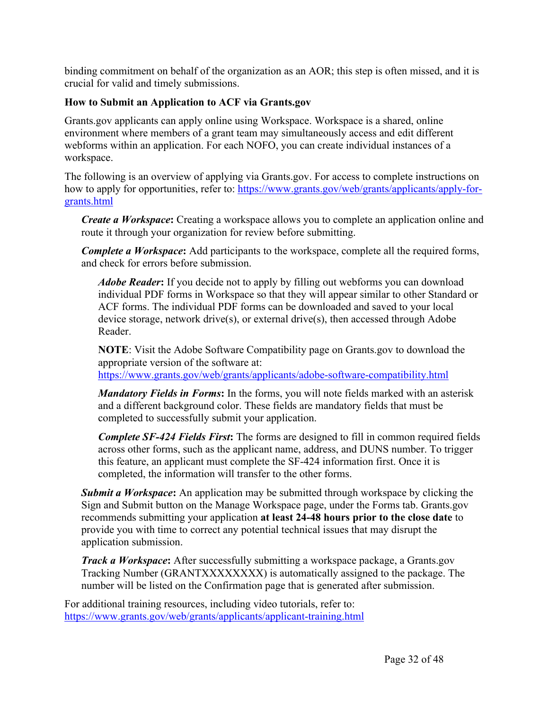binding commitment on behalf of the organization as an AOR; this step is often missed, and it is crucial for valid and timely submissions.

## **How to Submit an Application to ACF via Grants.gov**

Grants.gov applicants can apply online using Workspace. Workspace is a shared, online environment where members of a grant team may simultaneously access and edit different webforms within an application. For each NOFO, you can create individual instances of a workspace.

The following is an overview of applying via Grants.gov. For access to complete instructions on how to apply for opportunities, refer to: https://www.grants.gov/web/grants/applicants/apply-forgrants.html

*Create a Workspace***:** Creating a workspace allows you to complete an application online and route it through your organization for review before submitting.

*Complete a Workspace***:** Add participants to the workspace, complete all the required forms, and check for errors before submission.

*Adobe Reader***:** If you decide not to apply by filling out webforms you can download individual PDF forms in Workspace so that they will appear similar to other Standard or ACF forms. The individual PDF forms can be downloaded and saved to your local device storage, network drive(s), or external drive(s), then accessed through Adobe Reader.

**NOTE**: Visit the Adobe Software Compatibility page on Grants.gov to download the appropriate version of the software at:

https://www.grants.gov/web/grants/applicants/adobe-software-compatibility.html

*Mandatory Fields in Forms***:** In the forms, you will note fields marked with an asterisk and a different background color. These fields are mandatory fields that must be completed to successfully submit your application.

*Complete SF-424 Fields First***:** The forms are designed to fill in common required fields across other forms, such as the applicant name, address, and DUNS number. To trigger this feature, an applicant must complete the SF-424 information first. Once it is completed, the information will transfer to the other forms.

*Submit a Workspace***:** An application may be submitted through workspace by clicking the Sign and Submit button on the Manage Workspace page, under the Forms tab. Grants.gov recommends submitting your application **at least 24-48 hours prior to the close date** to provide you with time to correct any potential technical issues that may disrupt the application submission.

*Track a Workspace***:** After successfully submitting a workspace package, a Grants.gov Tracking Number (GRANTXXXXXXXX) is automatically assigned to the package. The number will be listed on the Confirmation page that is generated after submission.

For additional training resources, including video tutorials, refer to: https://www.grants.gov/web/grants/applicants/applicant-training.html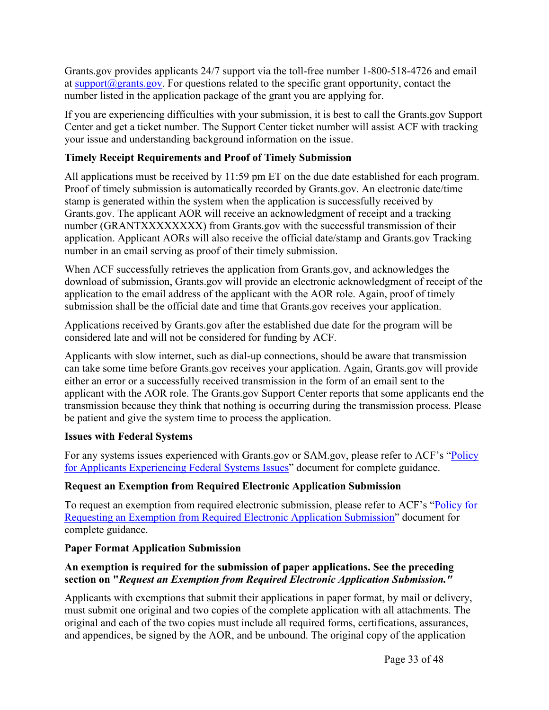Grants.gov provides applicants 24/7 support via the toll-free number 1-800-518-4726 and email at support@grants.gov. For questions related to the specific grant opportunity, contact the number listed in the application package of the grant you are applying for.

If you are experiencing difficulties with your submission, it is best to call the Grants.gov Support Center and get a ticket number. The Support Center ticket number will assist ACF with tracking your issue and understanding background information on the issue.

## **Timely Receipt Requirements and Proof of Timely Submission**

All applications must be received by 11:59 pm ET on the due date established for each program. Proof of timely submission is automatically recorded by Grants.gov. An electronic date/time stamp is generated within the system when the application is successfully received by Grants.gov. The applicant AOR will receive an acknowledgment of receipt and a tracking number (GRANTXXXXXXXX) from Grants.gov with the successful transmission of their application. Applicant AORs will also receive the official date/stamp and Grants.gov Tracking number in an email serving as proof of their timely submission.

When ACF successfully retrieves the application from Grants.gov, and acknowledges the download of submission, Grants.gov will provide an electronic acknowledgment of receipt of the application to the email address of the applicant with the AOR role. Again, proof of timely submission shall be the official date and time that Grants.gov receives your application.

Applications received by Grants.gov after the established due date for the program will be considered late and will not be considered for funding by ACF.

Applicants with slow internet, such as dial-up connections, should be aware that transmission can take some time before Grants.gov receives your application. Again, Grants.gov will provide either an error or a successfully received transmission in the form of an email sent to the applicant with the AOR role. The Grants.gov Support Center reports that some applicants end the transmission because they think that nothing is occurring during the transmission process. Please be patient and give the system time to process the application.

## **Issues with Federal Systems**

For any systems issues experienced with Grants.gov or SAM.gov, please refer to ACF's "Policy for Applicants Experiencing Federal Systems Issues" document for complete guidance.

## **Request an Exemption from Required Electronic Application Submission**

To request an exemption from required electronic submission, please refer to ACF's "Policy for Requesting an Exemption from Required Electronic Application Submission" document for complete guidance.

## **Paper Format Application Submission**

## **An exemption is required for the submission of paper applications. See the preceding section on "***Request an Exemption from Required Electronic Application Submission."*

Applicants with exemptions that submit their applications in paper format, by mail or delivery, must submit one original and two copies of the complete application with all attachments. The original and each of the two copies must include all required forms, certifications, assurances, and appendices, be signed by the AOR, and be unbound. The original copy of the application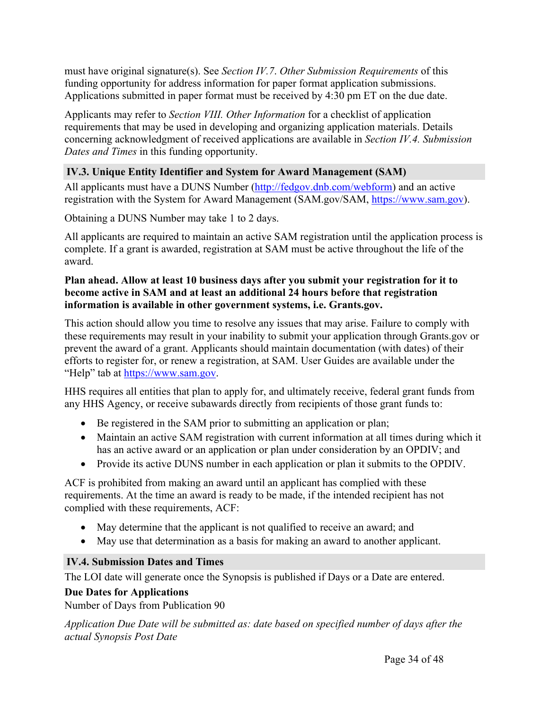must have original signature(s). See *Section IV.7*. *Other Submission Requirements* of this funding opportunity for address information for paper format application submissions. Applications submitted in paper format must be received by 4:30 pm ET on the due date.

Applicants may refer to *Section VIII. Other Information* for a checklist of application requirements that may be used in developing and organizing application materials. Details concerning acknowledgment of received applications are available in *Section IV.4. Submission Dates and Times* in this funding opportunity.

## **IV.3. Unique Entity Identifier and System for Award Management (SAM)**

All applicants must have a DUNS Number (http://fedgov.dnb.com/webform) and an active registration with the System for Award Management (SAM.gov/SAM, https://www.sam.gov).

Obtaining a DUNS Number may take 1 to 2 days.

All applicants are required to maintain an active SAM registration until the application process is complete. If a grant is awarded, registration at SAM must be active throughout the life of the award.

## **Plan ahead. Allow at least 10 business days after you submit your registration for it to become active in SAM and at least an additional 24 hours before that registration information is available in other government systems, i.e. Grants.gov.**

This action should allow you time to resolve any issues that may arise. Failure to comply with these requirements may result in your inability to submit your application through Grants.gov or prevent the award of a grant. Applicants should maintain documentation (with dates) of their efforts to register for, or renew a registration, at SAM. User Guides are available under the "Help" tab at https://www.sam.gov.

HHS requires all entities that plan to apply for, and ultimately receive, federal grant funds from any HHS Agency, or receive subawards directly from recipients of those grant funds to:

- Be registered in the SAM prior to submitting an application or plan;
- Maintain an active SAM registration with current information at all times during which it has an active award or an application or plan under consideration by an OPDIV; and
- Provide its active DUNS number in each application or plan it submits to the OPDIV.

ACF is prohibited from making an award until an applicant has complied with these requirements. At the time an award is ready to be made, if the intended recipient has not complied with these requirements, ACF:

- May determine that the applicant is not qualified to receive an award; and
- May use that determination as a basis for making an award to another applicant.

## **IV.4. Submission Dates and Times**

The LOI date will generate once the Synopsis is published if Days or a Date are entered.

## **Due Dates for Applications**

Number of Days from Publication 90

*Application Due Date will be submitted as: date based on specified number of days after the actual Synopsis Post Date*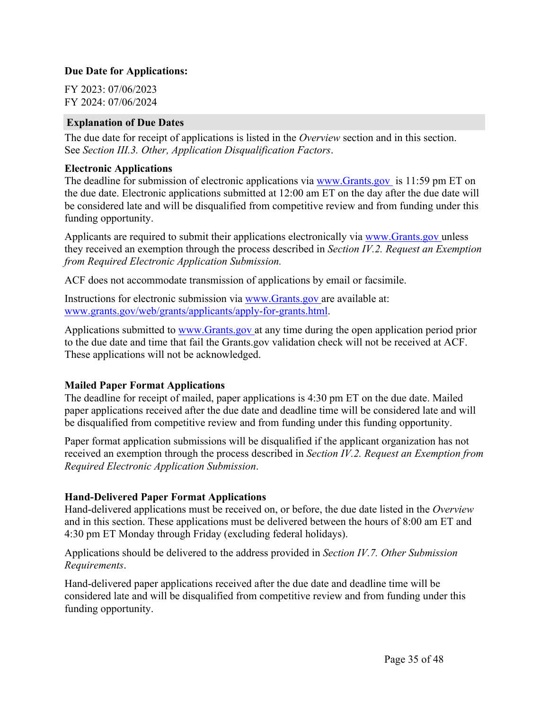#### **Due Date for Applications:**

FY 2023: 07/06/2023 FY 2024: 07/06/2024

#### **Explanation of Due Dates**

The due date for receipt of applications is listed in the *Overview* section and in this section. See *Section III.3. Other, Application Disqualification Factors*.

#### **Electronic Applications**

The deadline for submission of electronic applications via www.Grants.gov is 11:59 pm ET on the due date. Electronic applications submitted at 12:00 am ET on the day after the due date will be considered late and will be disqualified from competitive review and from funding under this funding opportunity.

Applicants are required to submit their applications electronically via www.Grants.gov unless they received an exemption through the process described in *Section IV.2. Request an Exemption from Required Electronic Application Submission.*

ACF does not accommodate transmission of applications by email or facsimile.

Instructions for electronic submission via www.Grants.gov are available at: www.grants.gov/web/grants/applicants/apply-for-grants.html.

Applications submitted to www.Grants.gov at any time during the open application period prior to the due date and time that fail the Grants.gov validation check will not be received at ACF. These applications will not be acknowledged.

## **Mailed Paper Format Applications**

The deadline for receipt of mailed, paper applications is 4:30 pm ET on the due date. Mailed paper applications received after the due date and deadline time will be considered late and will be disqualified from competitive review and from funding under this funding opportunity.

Paper format application submissions will be disqualified if the applicant organization has not received an exemption through the process described in *Section IV.2. Request an Exemption from Required Electronic Application Submission*.

#### **Hand-Delivered Paper Format Applications**

Hand-delivered applications must be received on, or before, the due date listed in the *Overview* and in this section. These applications must be delivered between the hours of 8:00 am ET and 4:30 pm ET Monday through Friday (excluding federal holidays).

Applications should be delivered to the address provided in *Section IV.7. Other Submission Requirements*.

Hand-delivered paper applications received after the due date and deadline time will be considered late and will be disqualified from competitive review and from funding under this funding opportunity.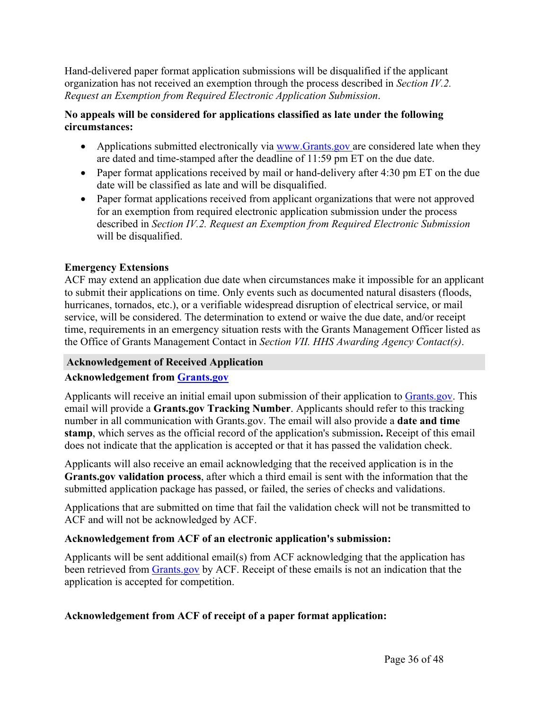Hand-delivered paper format application submissions will be disqualified if the applicant organization has not received an exemption through the process described in *Section IV.2. Request an Exemption from Required Electronic Application Submission*.

## **No appeals will be considered for applications classified as late under the following circumstances:**

- Applications submitted electronically via www.Grants.gov are considered late when they are dated and time-stamped after the deadline of 11:59 pm ET on the due date.
- Paper format applications received by mail or hand-delivery after 4:30 pm ET on the due date will be classified as late and will be disqualified.
- Paper format applications received from applicant organizations that were not approved for an exemption from required electronic application submission under the process described in *Section IV.2. Request an Exemption from Required Electronic Submission* will be disqualified.

## **Emergency Extensions**

ACF may extend an application due date when circumstances make it impossible for an applicant to submit their applications on time. Only events such as documented natural disasters (floods, hurricanes, tornados, etc.), or a verifiable widespread disruption of electrical service, or mail service, will be considered. The determination to extend or waive the due date, and/or receipt time, requirements in an emergency situation rests with the Grants Management Officer listed as the Office of Grants Management Contact in *Section VII. HHS Awarding Agency Contact(s)*.

## **Acknowledgement of Received Application**

## **Acknowledgement from Grants.gov**

Applicants will receive an initial email upon submission of their application to Grants.gov. This email will provide a **Grants.gov Tracking Number**. Applicants should refer to this tracking number in all communication with Grants.gov. The email will also provide a **date and time stamp**, which serves as the official record of the application's submission**.** Receipt of this email does not indicate that the application is accepted or that it has passed the validation check.

Applicants will also receive an email acknowledging that the received application is in the **Grants.gov validation process**, after which a third email is sent with the information that the submitted application package has passed, or failed, the series of checks and validations.

Applications that are submitted on time that fail the validation check will not be transmitted to ACF and will not be acknowledged by ACF.

## **Acknowledgement from ACF of an electronic application's submission:**

Applicants will be sent additional email(s) from ACF acknowledging that the application has been retrieved from Grants gov by ACF. Receipt of these emails is not an indication that the application is accepted for competition.

## **Acknowledgement from ACF of receipt of a paper format application:**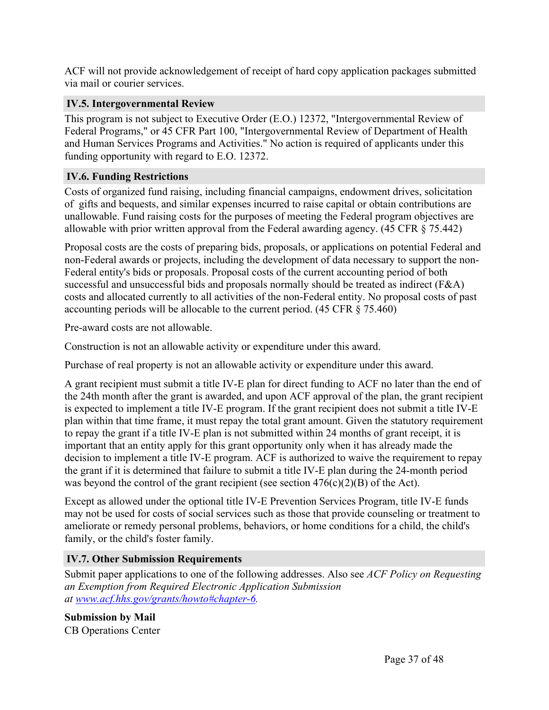ACF will not provide acknowledgement of receipt of hard copy application packages submitted via mail or courier services.

## **IV.5. Intergovernmental Review**

This program is not subject to Executive Order (E.O.) 12372, "Intergovernmental Review of Federal Programs," or 45 CFR Part 100, "Intergovernmental Review of Department of Health and Human Services Programs and Activities." No action is required of applicants under this funding opportunity with regard to E.O. 12372.

## **IV.6. Funding Restrictions**

Costs of organized fund raising, including financial campaigns, endowment drives, solicitation of gifts and bequests, and similar expenses incurred to raise capital or obtain contributions are unallowable. Fund raising costs for the purposes of meeting the Federal program objectives are allowable with prior written approval from the Federal awarding agency. (45 CFR § 75.442)

Proposal costs are the costs of preparing bids, proposals, or applications on potential Federal and non-Federal awards or projects, including the development of data necessary to support the non-Federal entity's bids or proposals. Proposal costs of the current accounting period of both successful and unsuccessful bids and proposals normally should be treated as indirect (F&A) costs and allocated currently to all activities of the non-Federal entity. No proposal costs of past accounting periods will be allocable to the current period. (45 CFR § 75.460)

Pre-award costs are not allowable.

Construction is not an allowable activity or expenditure under this award.

Purchase of real property is not an allowable activity or expenditure under this award.

A grant recipient must submit a title IV-E plan for direct funding to ACF no later than the end of the 24th month after the grant is awarded, and upon ACF approval of the plan, the grant recipient is expected to implement a title IV-E program. If the grant recipient does not submit a title IV-E plan within that time frame, it must repay the total grant amount. Given the statutory requirement to repay the grant if a title IV-E plan is not submitted within 24 months of grant receipt, it is important that an entity apply for this grant opportunity only when it has already made the decision to implement a title IV-E program. ACF is authorized to waive the requirement to repay the grant if it is determined that failure to submit a title IV-E plan during the 24-month period was beyond the control of the grant recipient (see section 476(c)(2)(B) of the Act).

Except as allowed under the optional title IV-E Prevention Services Program, title IV-E funds may not be used for costs of social services such as those that provide counseling or treatment to ameliorate or remedy personal problems, behaviors, or home conditions for a child, the child's family, or the child's foster family.

## **IV.7. Other Submission Requirements**

Submit paper applications to one of the following addresses. Also see *ACF Policy on Requesting an Exemption from Required Electronic Application Submission at www.acf.hhs.gov/grants/howto#chapter-6.*

**Submission by Mail** CB Operations Center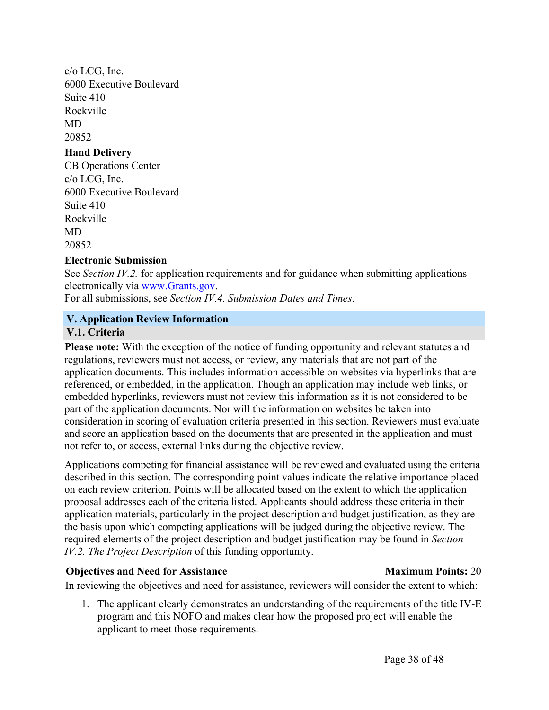c/o LCG, Inc. 6000 Executive Boulevard Suite 410 Rockville MD 20852 **Hand Delivery** CB Operations Center c/o LCG, Inc. 6000 Executive Boulevard Suite 410 Rockville MD

20852

## **Electronic Submission**

See *Section IV.2.* for application requirements and for guidance when submitting applications electronically via www.Grants.gov.

For all submissions, see *Section IV.4. Submission Dates and Times*.

## **V. Application Review Information**

## **V.1. Criteria**

**Please note:** With the exception of the notice of funding opportunity and relevant statutes and regulations, reviewers must not access, or review, any materials that are not part of the application documents. This includes information accessible on websites via hyperlinks that are referenced, or embedded, in the application. Though an application may include web links, or embedded hyperlinks, reviewers must not review this information as it is not considered to be part of the application documents. Nor will the information on websites be taken into consideration in scoring of evaluation criteria presented in this section. Reviewers must evaluate and score an application based on the documents that are presented in the application and must not refer to, or access, external links during the objective review.

Applications competing for financial assistance will be reviewed and evaluated using the criteria described in this section. The corresponding point values indicate the relative importance placed on each review criterion. Points will be allocated based on the extent to which the application proposal addresses each of the criteria listed. Applicants should address these criteria in their application materials, particularly in the project description and budget justification, as they are the basis upon which competing applications will be judged during the objective review. The required elements of the project description and budget justification may be found in *Section IV.2. The Project Description* of this funding opportunity.

## **Objectives and Need for Assistance Maximum Points:** 20

In reviewing the objectives and need for assistance, reviewers will consider the extent to which:

1. The applicant clearly demonstrates an understanding of the requirements of the title IV-E program and this NOFO and makes clear how the proposed project will enable the applicant to meet those requirements.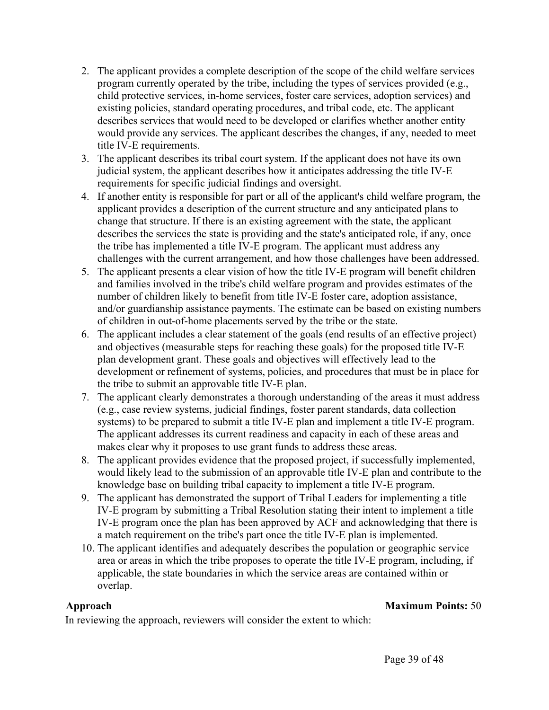- 2. The applicant provides a complete description of the scope of the child welfare services program currently operated by the tribe, including the types of services provided (e.g., child protective services, in-home services, foster care services, adoption services) and existing policies, standard operating procedures, and tribal code, etc. The applicant describes services that would need to be developed or clarifies whether another entity would provide any services. The applicant describes the changes, if any, needed to meet title IV-E requirements.
- 3. The applicant describes its tribal court system. If the applicant does not have its own judicial system, the applicant describes how it anticipates addressing the title IV-E requirements for specific judicial findings and oversight.
- 4. If another entity is responsible for part or all of the applicant's child welfare program, the applicant provides a description of the current structure and any anticipated plans to change that structure. If there is an existing agreement with the state, the applicant describes the services the state is providing and the state's anticipated role, if any, once the tribe has implemented a title IV-E program. The applicant must address any challenges with the current arrangement, and how those challenges have been addressed.
- 5. The applicant presents a clear vision of how the title IV-E program will benefit children and families involved in the tribe's child welfare program and provides estimates of the number of children likely to benefit from title IV-E foster care, adoption assistance, and/or guardianship assistance payments. The estimate can be based on existing numbers of children in out-of-home placements served by the tribe or the state.
- 6. The applicant includes a clear statement of the goals (end results of an effective project) and objectives (measurable steps for reaching these goals) for the proposed title IV-E plan development grant. These goals and objectives will effectively lead to the development or refinement of systems, policies, and procedures that must be in place for the tribe to submit an approvable title IV-E plan.
- 7. The applicant clearly demonstrates a thorough understanding of the areas it must address (e.g., case review systems, judicial findings, foster parent standards, data collection systems) to be prepared to submit a title IV-E plan and implement a title IV-E program. The applicant addresses its current readiness and capacity in each of these areas and makes clear why it proposes to use grant funds to address these areas.
- 8. The applicant provides evidence that the proposed project, if successfully implemented, would likely lead to the submission of an approvable title IV-E plan and contribute to the knowledge base on building tribal capacity to implement a title IV-E program.
- 9. The applicant has demonstrated the support of Tribal Leaders for implementing a title IV-E program by submitting a Tribal Resolution stating their intent to implement a title IV-E program once the plan has been approved by ACF and acknowledging that there is a match requirement on the tribe's part once the title IV-E plan is implemented.
- 10. The applicant identifies and adequately describes the population or geographic service area or areas in which the tribe proposes to operate the title IV-E program, including, if applicable, the state boundaries in which the service areas are contained within or overlap.

## **Approach Maximum Points:** 50

In reviewing the approach, reviewers will consider the extent to which: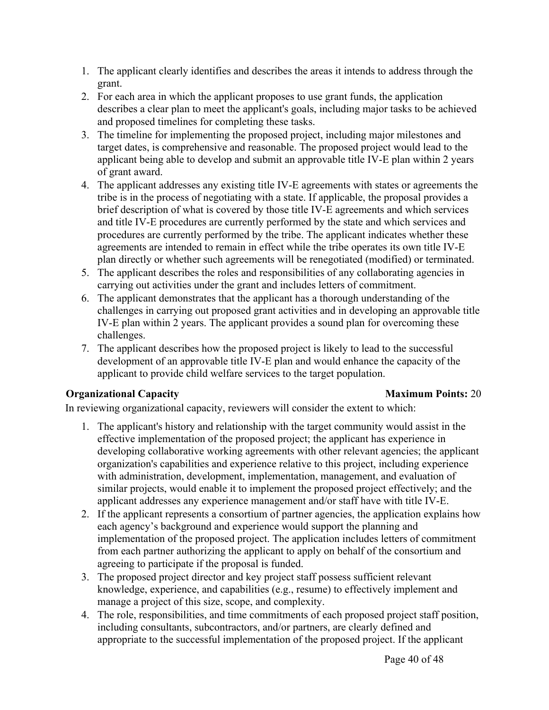- 1. The applicant clearly identifies and describes the areas it intends to address through the grant.
- 2. For each area in which the applicant proposes to use grant funds, the application describes a clear plan to meet the applicant's goals, including major tasks to be achieved and proposed timelines for completing these tasks.
- 3. The timeline for implementing the proposed project, including major milestones and target dates, is comprehensive and reasonable. The proposed project would lead to the applicant being able to develop and submit an approvable title IV-E plan within 2 years of grant award.
- 4. The applicant addresses any existing title IV-E agreements with states or agreements the tribe is in the process of negotiating with a state. If applicable, the proposal provides a brief description of what is covered by those title IV-E agreements and which services and title IV-E procedures are currently performed by the state and which services and procedures are currently performed by the tribe. The applicant indicates whether these agreements are intended to remain in effect while the tribe operates its own title IV-E plan directly or whether such agreements will be renegotiated (modified) or terminated.
- 5. The applicant describes the roles and responsibilities of any collaborating agencies in carrying out activities under the grant and includes letters of commitment.
- 6. The applicant demonstrates that the applicant has a thorough understanding of the challenges in carrying out proposed grant activities and in developing an approvable title IV-E plan within 2 years. The applicant provides a sound plan for overcoming these challenges.
- 7. The applicant describes how the proposed project is likely to lead to the successful development of an approvable title IV-E plan and would enhance the capacity of the applicant to provide child welfare services to the target population.

## **Organizational Capacity Maximum Points:** 20

In reviewing organizational capacity, reviewers will consider the extent to which:

- 1. The applicant's history and relationship with the target community would assist in the effective implementation of the proposed project; the applicant has experience in developing collaborative working agreements with other relevant agencies; the applicant organization's capabilities and experience relative to this project, including experience with administration, development, implementation, management, and evaluation of similar projects, would enable it to implement the proposed project effectively; and the applicant addresses any experience management and/or staff have with title IV-E.
- 2. If the applicant represents a consortium of partner agencies, the application explains how each agency's background and experience would support the planning and implementation of the proposed project. The application includes letters of commitment from each partner authorizing the applicant to apply on behalf of the consortium and agreeing to participate if the proposal is funded.
- 3. The proposed project director and key project staff possess sufficient relevant knowledge, experience, and capabilities (e.g., resume) to effectively implement and manage a project of this size, scope, and complexity.
- 4. The role, responsibilities, and time commitments of each proposed project staff position, including consultants, subcontractors, and/or partners, are clearly defined and appropriate to the successful implementation of the proposed project. If the applicant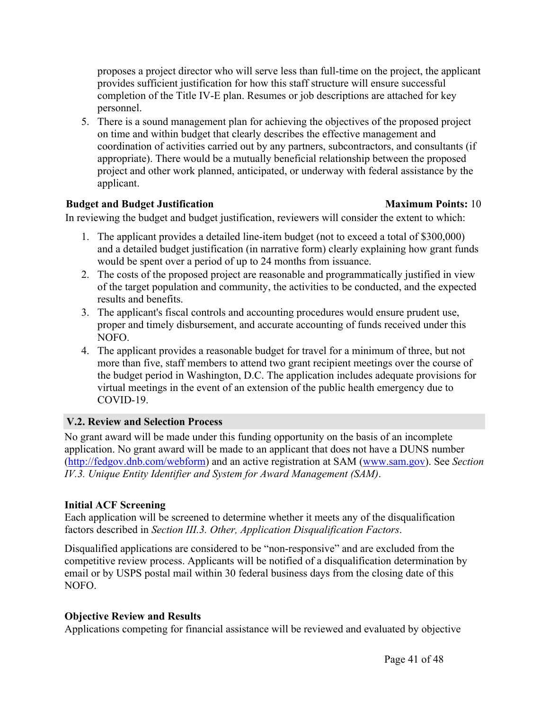proposes a project director who will serve less than full-time on the project, the applicant provides sufficient justification for how this staff structure will ensure successful completion of the Title IV-E plan. Resumes or job descriptions are attached for key personnel.

5. There is a sound management plan for achieving the objectives of the proposed project on time and within budget that clearly describes the effective management and coordination of activities carried out by any partners, subcontractors, and consultants (if appropriate). There would be a mutually beneficial relationship between the proposed project and other work planned, anticipated, or underway with federal assistance by the applicant.

## **Budget and Budget Justification Maximum Points:** 10

In reviewing the budget and budget justification, reviewers will consider the extent to which:

- 1. The applicant provides a detailed line-item budget (not to exceed a total of \$300,000) and a detailed budget justification (in narrative form) clearly explaining how grant funds would be spent over a period of up to 24 months from issuance.
- 2. The costs of the proposed project are reasonable and programmatically justified in view of the target population and community, the activities to be conducted, and the expected results and benefits.
- 3. The applicant's fiscal controls and accounting procedures would ensure prudent use, proper and timely disbursement, and accurate accounting of funds received under this NOFO.
- 4. The applicant provides a reasonable budget for travel for a minimum of three, but not more than five, staff members to attend two grant recipient meetings over the course of the budget period in Washington, D.C. The application includes adequate provisions for virtual meetings in the event of an extension of the public health emergency due to COVID-19.

## **V.2. Review and Selection Process**

No grant award will be made under this funding opportunity on the basis of an incomplete application. No grant award will be made to an applicant that does not have a DUNS number (http://fedgov.dnb.com/webform) and an active registration at SAM (www.sam.gov). See *Section IV.3. Unique Entity Identifier and System for Award Management (SAM)*.

## **Initial ACF Screening**

Each application will be screened to determine whether it meets any of the disqualification factors described in *Section III.3. Other, Application Disqualification Factors*.

Disqualified applications are considered to be "non-responsive" and are excluded from the competitive review process. Applicants will be notified of a disqualification determination by email or by USPS postal mail within 30 federal business days from the closing date of this NOFO.

## **Objective Review and Results**

Applications competing for financial assistance will be reviewed and evaluated by objective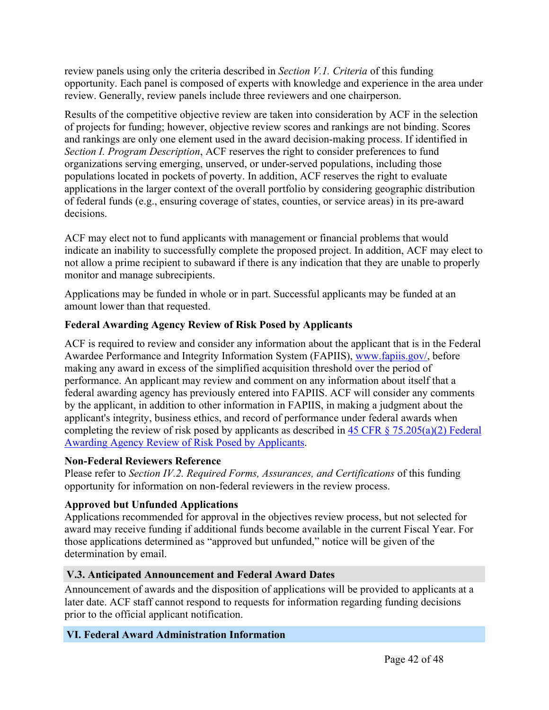review panels using only the criteria described in *Section V.1. Criteria* of this funding opportunity. Each panel is composed of experts with knowledge and experience in the area under review. Generally, review panels include three reviewers and one chairperson.

Results of the competitive objective review are taken into consideration by ACF in the selection of projects for funding; however, objective review scores and rankings are not binding. Scores and rankings are only one element used in the award decision-making process. If identified in *Section I. Program Description*, ACF reserves the right to consider preferences to fund organizations serving emerging, unserved, or under-served populations, including those populations located in pockets of poverty. In addition, ACF reserves the right to evaluate applications in the larger context of the overall portfolio by considering geographic distribution of federal funds (e.g., ensuring coverage of states, counties, or service areas) in its pre-award decisions.

ACF may elect not to fund applicants with management or financial problems that would indicate an inability to successfully complete the proposed project. In addition, ACF may elect to not allow a prime recipient to subaward if there is any indication that they are unable to properly monitor and manage subrecipients.

Applications may be funded in whole or in part. Successful applicants may be funded at an amount lower than that requested.

## **Federal Awarding Agency Review of Risk Posed by Applicants**

ACF is required to review and consider any information about the applicant that is in the Federal Awardee Performance and Integrity Information System (FAPIIS), www.fapiis.gov/, before making any award in excess of the simplified acquisition threshold over the period of performance. An applicant may review and comment on any information about itself that a federal awarding agency has previously entered into FAPIIS. ACF will consider any comments by the applicant, in addition to other information in FAPIIS, in making a judgment about the applicant's integrity, business ethics, and record of performance under federal awards when completing the review of risk posed by applicants as described in 45 CFR § 75.205(a)(2) Federal Awarding Agency Review of Risk Posed by Applicants.

## **Non-Federal Reviewers Reference**

Please refer to *Section IV.2. Required Forms, Assurances, and Certifications* of this funding opportunity for information on non-federal reviewers in the review process.

## **Approved but Unfunded Applications**

Applications recommended for approval in the objectives review process, but not selected for award may receive funding if additional funds become available in the current Fiscal Year. For those applications determined as "approved but unfunded," notice will be given of the determination by email.

## **V.3. Anticipated Announcement and Federal Award Dates**

Announcement of awards and the disposition of applications will be provided to applicants at a later date. ACF staff cannot respond to requests for information regarding funding decisions prior to the official applicant notification.

## **VI. Federal Award Administration Information**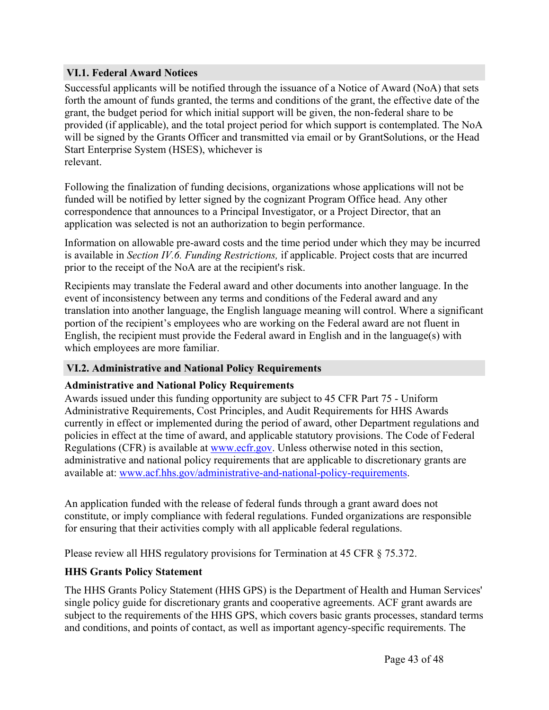## **VI.1. Federal Award Notices**

Successful applicants will be notified through the issuance of a Notice of Award (NoA) that sets forth the amount of funds granted, the terms and conditions of the grant, the effective date of the grant, the budget period for which initial support will be given, the non-federal share to be provided (if applicable), and the total project period for which support is contemplated. The NoA will be signed by the Grants Officer and transmitted via email or by GrantSolutions, or the Head Start Enterprise System (HSES), whichever is relevant.

Following the finalization of funding decisions, organizations whose applications will not be funded will be notified by letter signed by the cognizant Program Office head. Any other correspondence that announces to a Principal Investigator, or a Project Director, that an application was selected is not an authorization to begin performance.

Information on allowable pre-award costs and the time period under which they may be incurred is available in *Section IV.6. Funding Restrictions,* if applicable. Project costs that are incurred prior to the receipt of the NoA are at the recipient's risk.

Recipients may translate the Federal award and other documents into another language. In the event of inconsistency between any terms and conditions of the Federal award and any translation into another language, the English language meaning will control. Where a significant portion of the recipient's employees who are working on the Federal award are not fluent in English, the recipient must provide the Federal award in English and in the language(s) with which employees are more familiar.

#### **VI.2. Administrative and National Policy Requirements**

#### **Administrative and National Policy Requirements**

Awards issued under this funding opportunity are subject to 45 CFR Part 75 - Uniform Administrative Requirements, Cost Principles, and Audit Requirements for HHS Awards currently in effect or implemented during the period of award, other Department regulations and policies in effect at the time of award, and applicable statutory provisions. The Code of Federal Regulations (CFR) is available at www.ecfr.gov. Unless otherwise noted in this section, administrative and national policy requirements that are applicable to discretionary grants are available at: www.acf.hhs.gov/administrative-and-national-policy-requirements.

An application funded with the release of federal funds through a grant award does not constitute, or imply compliance with federal regulations. Funded organizations are responsible for ensuring that their activities comply with all applicable federal regulations.

Please review all HHS regulatory provisions for Termination at 45 CFR § 75.372.

## **HHS Grants Policy Statement**

The HHS Grants Policy Statement (HHS GPS) is the Department of Health and Human Services' single policy guide for discretionary grants and cooperative agreements. ACF grant awards are subject to the requirements of the HHS GPS, which covers basic grants processes, standard terms and conditions, and points of contact, as well as important agency-specific requirements. The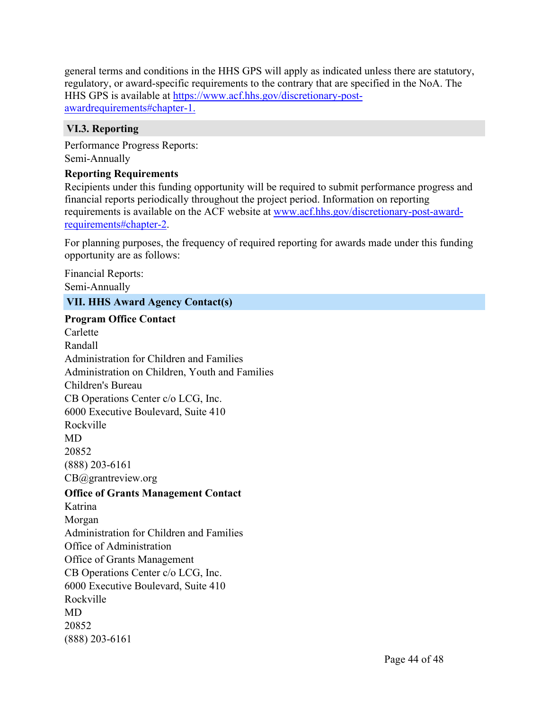general terms and conditions in the HHS GPS will apply as indicated unless there are statutory, regulatory, or award-specific requirements to the contrary that are specified in the NoA. The HHS GPS is available at https://www.acf.hhs.gov/discretionary-postawardrequirements#chapter-1.

## **VI.3. Reporting**

Performance Progress Reports: Semi-Annually

## **Reporting Requirements**

Recipients under this funding opportunity will be required to submit performance progress and financial reports periodically throughout the project period. Information on reporting requirements is available on the ACF website at www.acf.hhs.gov/discretionary-post-awardrequirements#chapter-2.

For planning purposes, the frequency of required reporting for awards made under this funding opportunity are as follows:

Financial Reports: Semi-Annually

## **VII. HHS Award Agency Contact(s)**

**Program Office Contact** Carlette Randall Administration for Children and Families Administration on Children, Youth and Families Children's Bureau CB Operations Center c/o LCG, Inc. 6000 Executive Boulevard, Suite 410 Rockville MD 20852 (888) 203-6161 CB@grantreview.org **Office of Grants Management Contact** Katrina Morgan Administration for Children and Families Office of Administration Office of Grants Management CB Operations Center c/o LCG, Inc. 6000 Executive Boulevard, Suite 410 Rockville MD 20852 (888) 203-6161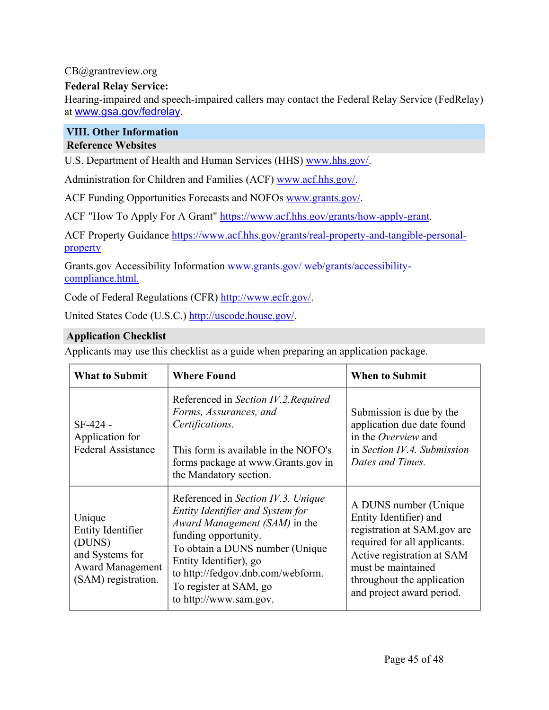## CB@grantreview.org

## **Federal Relay Service:**

Hearing-impaired and speech-impaired callers may contact the Federal Relay Service (FedRelay) at www.gsa.gov/fedrelay.

#### **VIII. Other Information Reference Websites**

U.S. Department of Health and Human Services (HHS) www.hhs.gov/.

Administration for Children and Families (ACF) www.acf.hhs.gov/.

ACF Funding Opportunities Forecasts and NOFOs www.grants.gov/.

ACF "How To Apply For A Grant" https://www.acf.hhs.gov/grants/how-apply-grant.

ACF Property Guidance https://www.acf.hhs.gov/grants/real-property-and-tangible-personalproperty

Grants.gov Accessibility Information www.grants.gov/ web/grants/accessibilitycompliance.html.

Code of Federal Regulations (CFR) http://www.ecfr.gov/.

United States Code (U.S.C.) http://uscode.house.gov/.

## **Application Checklist**

Applicants may use this checklist as a guide when preparing an application package.

| <b>What to Submit</b>                                                                                      | <b>Where Found</b>                                                                                                                                                                                                                                                                     | <b>When to Submit</b>                                                                                                                                                                                                         |
|------------------------------------------------------------------------------------------------------------|----------------------------------------------------------------------------------------------------------------------------------------------------------------------------------------------------------------------------------------------------------------------------------------|-------------------------------------------------------------------------------------------------------------------------------------------------------------------------------------------------------------------------------|
| $SF-424 -$<br>Application for<br><b>Federal Assistance</b>                                                 | Referenced in Section IV.2. Required<br>Forms, Assurances, and<br>Certifications.<br>This form is available in the NOFO's<br>forms package at www.Grants.gov in<br>the Mandatory section.                                                                                              | Submission is due by the<br>application due date found<br>in the <i>Overview</i> and<br>in Section $IV.4$ . Submission<br>Dates and Times.                                                                                    |
| Unique<br>Entity Identifier<br>(DUNS)<br>and Systems for<br><b>Award Management</b><br>(SAM) registration. | Referenced in Section IV.3. Unique<br>Entity Identifier and System for<br>Award Management (SAM) in the<br>funding opportunity.<br>To obtain a DUNS number (Unique)<br>Entity Identifier), go<br>to http://fedgov.dnb.com/webform.<br>To register at SAM, go<br>to http://www.sam.gov. | A DUNS number (Unique<br>Entity Identifier) and<br>registration at SAM.gov are<br>required for all applicants.<br>Active registration at SAM<br>must be maintained<br>throughout the application<br>and project award period. |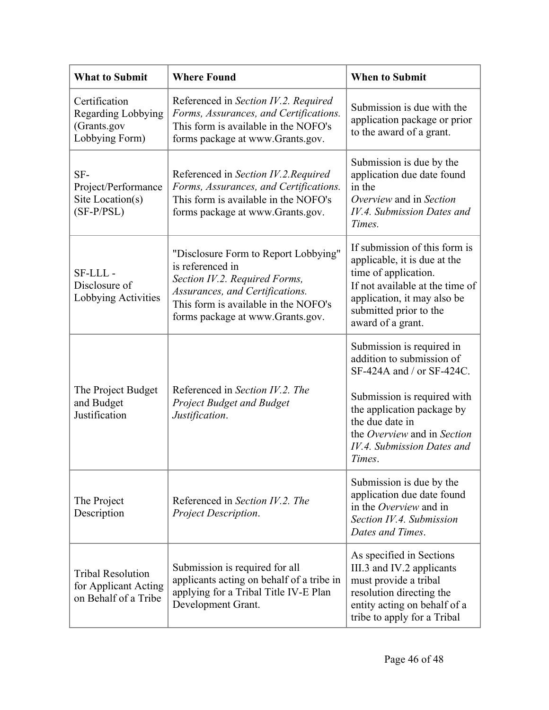| <b>What to Submit</b>                                                    | <b>Where Found</b>                                                                                                                                                                                       | <b>When to Submit</b>                                                                                                                                                                                                                      |
|--------------------------------------------------------------------------|----------------------------------------------------------------------------------------------------------------------------------------------------------------------------------------------------------|--------------------------------------------------------------------------------------------------------------------------------------------------------------------------------------------------------------------------------------------|
| Certification<br>Regarding Lobbying<br>(Grants.gov<br>Lobbying Form)     | Referenced in Section IV.2. Required<br>Forms, Assurances, and Certifications.<br>This form is available in the NOFO's<br>forms package at www.Grants.gov.                                               | Submission is due with the<br>application package or prior<br>to the award of a grant.                                                                                                                                                     |
| SF-<br>Project/Performance<br>Site Location(s)<br>$(SF-P/PSL)$           | Referenced in Section IV.2. Required<br>Forms, Assurances, and Certifications.<br>This form is available in the NOFO's<br>forms package at www.Grants.gov.                                               | Submission is due by the<br>application due date found<br>in the<br>Overview and in Section<br>IV.4. Submission Dates and<br>Times.                                                                                                        |
| SF-LLL-<br>Disclosure of<br>Lobbying Activities                          | "Disclosure Form to Report Lobbying"<br>is referenced in<br>Section IV.2. Required Forms,<br>Assurances, and Certifications.<br>This form is available in the NOFO's<br>forms package at www.Grants.gov. | If submission of this form is<br>applicable, it is due at the<br>time of application.<br>If not available at the time of<br>application, it may also be<br>submitted prior to the<br>award of a grant.                                     |
| The Project Budget<br>and Budget<br>Justification                        | Referenced in Section IV.2. The<br><b>Project Budget and Budget</b><br>Justification.                                                                                                                    | Submission is required in<br>addition to submission of<br>SF-424A and / or SF-424C.<br>Submission is required with<br>the application package by<br>the due date in<br>the Overview and in Section<br>IV.4. Submission Dates and<br>Times. |
| The Project<br>Description                                               | Referenced in Section IV.2. The<br>Project Description.                                                                                                                                                  | Submission is due by the<br>application due date found<br>in the <i>Overview</i> and in<br>Section IV.4. Submission<br>Dates and Times.                                                                                                    |
| <b>Tribal Resolution</b><br>for Applicant Acting<br>on Behalf of a Tribe | Submission is required for all<br>applicants acting on behalf of a tribe in<br>applying for a Tribal Title IV-E Plan<br>Development Grant.                                                               | As specified in Sections<br>III.3 and IV.2 applicants<br>must provide a tribal<br>resolution directing the<br>entity acting on behalf of a<br>tribe to apply for a Tribal                                                                  |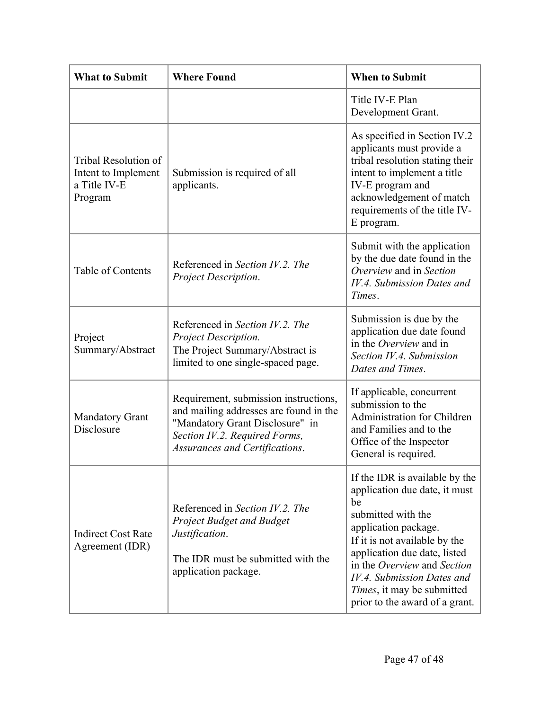| <b>What to Submit</b>                                                  | <b>Where Found</b>                                                                                                                                                                    | <b>When to Submit</b>                                                                                                                                                                                                                                                                                                     |
|------------------------------------------------------------------------|---------------------------------------------------------------------------------------------------------------------------------------------------------------------------------------|---------------------------------------------------------------------------------------------------------------------------------------------------------------------------------------------------------------------------------------------------------------------------------------------------------------------------|
|                                                                        |                                                                                                                                                                                       | Title IV-E Plan<br>Development Grant.                                                                                                                                                                                                                                                                                     |
| Tribal Resolution of<br>Intent to Implement<br>a Title IV-E<br>Program | Submission is required of all<br>applicants.                                                                                                                                          | As specified in Section IV.2<br>applicants must provide a<br>tribal resolution stating their<br>intent to implement a title<br>IV-E program and<br>acknowledgement of match<br>requirements of the title IV-<br>E program.                                                                                                |
| Table of Contents                                                      | Referenced in Section IV.2. The<br>Project Description.                                                                                                                               | Submit with the application<br>by the due date found in the<br>Overview and in Section<br>IV.4. Submission Dates and<br>Times.                                                                                                                                                                                            |
| Project<br>Summary/Abstract                                            | Referenced in Section IV.2. The<br>Project Description.<br>The Project Summary/Abstract is<br>limited to one single-spaced page.                                                      | Submission is due by the<br>application due date found<br>in the Overview and in<br>Section IV.4. Submission<br>Dates and Times.                                                                                                                                                                                          |
| <b>Mandatory Grant</b><br><b>Disclosure</b>                            | Requirement, submission instructions,<br>and mailing addresses are found in the<br>"Mandatory Grant Disclosure" in<br>Section IV.2. Required Forms,<br>Assurances and Certifications. | If applicable, concurrent<br>submission to the<br>Administration for Children<br>and Families and to the<br>Office of the Inspector<br>General is required.                                                                                                                                                               |
| <b>Indirect Cost Rate</b><br>Agreement (IDR)                           | Referenced in Section IV.2. The<br><b>Project Budget and Budget</b><br>Justification.<br>The IDR must be submitted with the<br>application package.                                   | If the IDR is available by the<br>application due date, it must<br>be<br>submitted with the<br>application package.<br>If it is not available by the<br>application due date, listed<br>in the Overview and Section<br>IV.4. Submission Dates and<br><i>Times</i> , it may be submitted<br>prior to the award of a grant. |